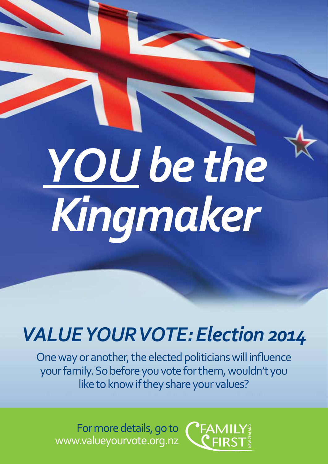# *YOU be the Kingmaker*

# *VALUE YOURVOTE: Election 2014*

One way or another, the elected politicians will influence your family. So before you vote for them, wouldn't you like to know if they share your values?

For more details, go to www.valueyourvote.org.nz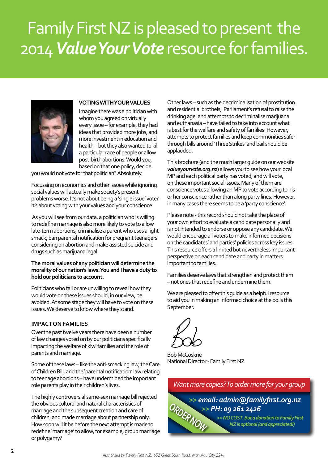# Family First NZ is pleased to present the 2014 *Value Your Vote* resource for families.



#### **VOTING WITH YOUR VALUES**

Imagine there was a politician with whom you agreed on virtually every issue – for example, they had ideas that provided more jobs, and more investment in education and health – but they also wanted to kill a particular race of people or allow post-birth abortions. Would you, based on that one policy, decide

you would not vote for that politician? Absolutely.

Focussing on economics and other issues while ignoring social values will actually make society's present problems worse. It's not about being a 'single issue' voter. It's about voting with your values and your conscience.

 As you will see from our data, a politician who is willing to redefine marriage is also more likely to vote to allow late-term abortions, criminalise a parent who uses a light smack, ban parental notification for pregnant teenagers considering an abortion and make assisted suicide and drugs such as marijuana legal.

#### **The moral values of any politician will determine the morality of our nation's laws. You and I have a duty to hold our politicians to account.**

Politicians who fail or are unwilling to reveal how they would vote on these issues should, in our view, be avoided. At some stage they will have to vote on these issues. We deserve to know where they stand.

#### **IMPACT ON FAMILIES**

Over the past twelve years there have been a number of law changes voted on by our politicians specifically impacting the welfare of kiwi families and the role of parents and marriage.

Some of these laws – like the anti-smacking law, the Care of Children Bill, and the 'parental notification' law relating to teenage abortions – have undermined the important role parents play in their children's lives.

The highly controversial same-sex marriage bill rejected the obvious cultural and natural characteristics of marriage and the subsequent creation and care of children; and made marriage about partnership only. How soon will it be before the next attempt is made to redefine 'marriage' to allow, for example, group marriage or polygamy?

Other laws – such as the decriminalisation of prostitution and residential brothels; Parliament's refusal to raise the drinking age; and attempts to decriminalise marijuana and euthanasia – have failed to take into account what is best for the welfare and safety of families. However, attempts to protect families and keep communities safer through bills around 'Three Strikes' and bail should be applauded.

This brochure (and the much larger guide on our website *valueyourvote.org.nz*) allows you to see how your local MP and each political party has voted, and will vote, on these important social issues. Many of them are conscience votes allowing an MP to vote according to his or her conscience rather than along party lines. However, in many cases there seems to be a 'party conscience'.

Please note - this record should not take the place of your own effort to evaluate a candidate personally and is not intended to endorse or oppose any candidate. We would encourage all voters to make informed decisions on the candidates' and parties' policies across key issues. This resource offers a limited but nevertheless important perspective on each candidate and party in matters important to families.

Families deserve laws that strengthen and protect them – not ones that redefine and undermine them.

We are pleased to offer this guide as a helpful resource to aid you in making an informed choice at the polls this September.



Bob McCoskrie National Director - Family First NZ

*Want more copies? To order more for your group >> email: admin@familyfirst.org.nz >> PH: 09 261 2426 >> NO COST. But a donation to Family First*  **ORDER INCORP IS ONE OF A SEX IS OPTION OF A SEX IS OPTION OF A SEX IS OPTIONAL AND REGISTION AND REGISTION AND REGIST OF A SEX ISLACE OF A SEX ISLACE OF A SEX ISLACE OF A SEX ISLACE OF A SEX ISLACE OF A SEX ISLACE OF A SE**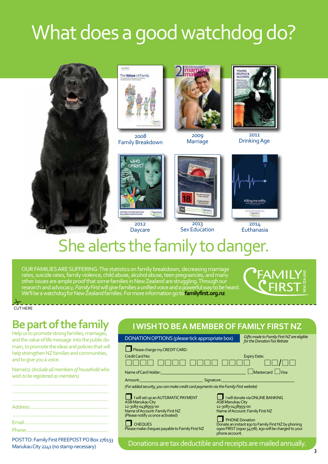# What does a good watchdog do?





2008 Family Breakdown



**Marriage** 



2011 zoog 2011<br>The 2011 2013 arriage 2014



2012 Daycare



2013 Sex Education



2014 Euthanasia

# She alerts the family to danger.

OUR FAMILIES ARE SUFFERING: The statistics on family breakdown, decreasing marriage rates, suicide rates, family violence, child abuse, alcohol abuse, teen pregnancies, and many other issues are ample proof that some families in New Zealand are struggling. Through our research and advocacy, *Family First* will give families a unified voice and a powerful way to be heard. We'll be a watchdog for New Zealand families. For more information go to **familyfirst.org.nz**



CUT HERE  $\frac{1}{2}$ 

### **Be part of the family**

Help us to promote strong families, marriages, and the value of life message into the public domain, to promote the ideas and policies that will help strengthen NZ families and communities, and to give you a voice.

Name(s): *(Include all members of household who wish to be registered as members)*

POST TO: Family First FREEPOST PO Box 276133 Manukau City 2241 (no stamp necessary)

### **I WISH TO BE A MEMBER OF FAMILY FIRST NZ**

| DONATION OPTIONS (please tick appropriate box)                                                                                                                                                                                   | Gifts made to Family First NZ are eligible<br>for the Donation Tax Rebate                                                                                                                                                                                                         |
|----------------------------------------------------------------------------------------------------------------------------------------------------------------------------------------------------------------------------------|-----------------------------------------------------------------------------------------------------------------------------------------------------------------------------------------------------------------------------------------------------------------------------------|
| Please charge my CREDIT CARD:<br>Credit Card No:<br>Name of Card Holder:                                                                                                                                                         | <b>Expiry Date:</b><br>Mastercard   Visa                                                                                                                                                                                                                                          |
| Signature:<br>Amount:<br>(For added security, you can make credit card payments via the Family First website)                                                                                                                    |                                                                                                                                                                                                                                                                                   |
| I will set up an AUTOMATIC PAYMENT<br><b>ASB Manukau City</b><br>12-3083-0438959-00<br>Name of Account: Family First NZ<br>(Please notify us once activated)<br><b>CHEQUES</b><br>Please make cheques payable to Family First NZ | I will donate via ONLINE BANKING<br><b>ASB Manukau City</b><br>12-3083-0438959-00<br>Name of Account: Family First NZ<br><b>PHONE Donation</b><br>Donate an instant \$30 to Family First NZ by phoning<br>ogoo FIRST (0900 34778). \$30 will be charged to your<br>phone account. |
|                                                                                                                                                                                                                                  | Donations are tax deductible and receipts are mailed annually.                                                                                                                                                                                                                    |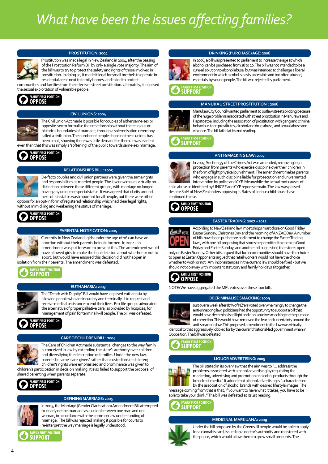# *What have been the issues affecting families?*



#### **PROSTITUTION: 2004**

Prostitution was made legal in New Zealand in 2004, after the passing of the Prostitution Reform Bill by only a single vote majority. The aim of the bill was to try to protect the safety and rights of those involved in prostitution. In doing so, it made it legal for small brothels to operate in residential areas next to family homes, and failed to protect communities and families from the effects of street prostitution. Ultimately, it legalised

the sexual exploitation of vulnerable people.



#### **CIVIL UNIONS: 2004**

The Civil Union Act made it possible for couples of either same-sex or opposite-sex to formalise their relationship without the religious or historical boundaries of marriage, through a solemnisation ceremony called a civil union. The number of people choosing these unions has been small, showing there was little demand for them. It was evident then that this was simply a 'softening' of the public towards same-sex marriage.

### **FAMILY FIRST POSITION OPPOSE**



#### **RELATIONSHIPS BILL: 2005**

De-facto couples and civil union partners were given the same rights and responsibilities as married people. The law now makes virtually no distinction between these different groups, with marriage no longer having any unique or special status. It was agreed that clarity around next-of-kin status was important for all people, but there were other options for an opt-in form of registered relationship which had clear legal rights,

without mimicking and weakening the status of marriage.



#### **PARENTAL NOTIFICATION: 2004**

Currently in New Zealand, girls under the age of 16 can have an abortion without their parents being informed. In 2004, an amendment was put forward to prevent this. The amendment would have allowed girls to make the final decision about whether or not to abort, but would have ensured this decision did not happen in isolation from their parents. The amendment was defeated.



#### **EUTHANASIA: 2003**

The "Death with Dignity" Bill would have legalised euthanasia by allowing people who are incurably and terminally ill to request and receive medical assistance to end their lives. Pro-life groups advocated the alternative of proper palliative care, as provided by hospices, for management of pain for terminally-ill people. The bill was defeated.



#### **CARE OF CHILDREN BILL: 2004**

The Care of Children Act made substantial changes to the way family is conceived in law by extending the state's authority over children and diversifying the description of families. Under the new law, parents became 'care-givers' rather than custodians of children; children's rights were emphasised and prominence was given to children's participation in decision making. It also failed to support the proposal of shared parenting when parents separate.





#### **DEFINING MARRIAGE: 2005**

In 2005, the Marriage (Gender Clarification) Amendment Bill attempted to clearly define marriage as a union between one man and one woman, in accordance with the common law understanding of marriage. The bill was rejected making it possible for courts to re-interpret the way marriage is legally understood.







In 2006, a bill was presented to parliament to increase the age at which alcohol can be purchased from 18 to 20. The bill was not intended to be a cure-all solution to alcohol abuse, but was intended to challenge a liberal environment in which alcohol is easily accessible and too often abused, especially by young people. The bill was rejected by parliament.

**FAMILY FIRST POSITION SUPPORT**

#### **MANUKAU STREET PROSTITUTION : 2006**



Manukau City Council wanted parliament to outlaw street soliciting because of the huge problems associated with street prostitution in Manurewa and Papatoetoe; including the association of prostitution with gang and criminal behaviour, teen prostitutes, alcohol and drug abuse, and sexual abuse and violence. The bill failed at its 2nd reading.

**FAMILY FIRST POSITION SUPPORT**

#### **ANTI-SMACKING LAW: 2007**



In 2007, Section 59 of the Crimes Act was amended, removing legal protection from parents who exercise discipline over their children in the form of light physical punishment. The amendment makes parents who engage in such discipline liable for prosecution and unwarranted intervention by police and CYF. Meanwhile the actual root causes of child abuse as identified by UNICEF and CYF reports remain. The law was passed

despite 80% of New Zealanders opposing it. Rates of serious child abuse have continued to rise.





**EASTER TRADING: 2007 – 2012**

According to New Zealand law, most shops must close on Good Friday, Easter Sunday, Christmas Day and the morning of ANZAC Day. A number of bills have been put before parliament to change the Easter Trading laws, with one bill proposing that stores be permitted to open on Good Friday and Easter Sunday, and another bill suggesting that stores open

only on Easter Sunday. Other bills argued that local communities should have the choice to open at Easter. Opponents argued that retail workers would not have the choice whether to work or not. Any inconsistencies in the current law should be fixed - but we should not do away with important statutory and family holidays altogether.



NOTE: We have aggregated the MPs votes over these four bills.

#### **DECRIMINALISE SMACKING: 2009**



Just over a week after 87% of NZ'ers voted overwhelmingly to change the anti-smacking law, politicians had the opportunity to support a bill that would have decriminalised light and non-abusive smacking for the purpose of correction. This would have removed the fear and uncertainty around the anti-smacking law. This proposed amendment to the law was virtually identical to that aggressively lobbied for by the current National-led government when in

Opposition. The bill was defeated.



#### **LIQUOR ADVERTISING: 2009**



The bill stated in its overview that the aim was to "... address the problems associated with alcohol advertising by regulating the marketing, advertising and promotion of alcohol products through the broadcast media." It added that alcohol advertising is "..characterised by the association of alcohol brands with desired lifestyle images. The message coming from that is that, if you want to have what it takes, you have to be able to take your drink." The bill was defeated at its 1st reading.

### **FAMILY FIRST POSITION SUPPORT**

#### **MEDICINAL MARIJUANA: 2009**



Under the bill proposed by the Greens, ill people would be able to apply for a cannabis card, issued on a doctor's authority and registered with the police, which would allow them to grow small amounts. The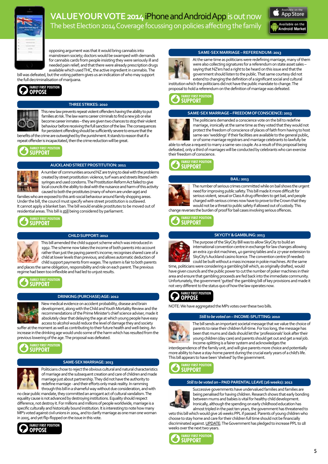

### **VALUE YOUR VOTE 2014 iPhone and Android App is out now** The best Election 2014 Coverage focussing on policies affecting the family



opposing argument was that it would bring cannabis into mainstream society; doctors would be swamped with demands for cannabis cards from people insisting they were seriously ill and needed pain relief; and that there were already prescription drugs available which used THC, the active ingredient in cannabis. The

bill was defeated, but the voting pattern gives us an indication of who may support the full decriminalisation of marijuana.





#### **THREE STRIKES: 2010**

This new law prevents repeat violent offenders having the ability to put families at risk. The law warns career criminals to find a new job or else become career inmates – they are given two chances to stop their violent behaviour before receiving the full sanction of the law. The consequences for persistent offending should be sufficiently severe to ensure that the benefits of the crime are outweighed by the punishment. It stands to reason that if a

repeat offender is incapacitated, then the crime reduction will be great.

### **FAMILY FIRST POSITION SUPPORT**



#### **AUCKLAND STREET PROSTITUTION: 2011**

A number of communities around NZ are trying to deal with the problems created by street prostitution: violence, turf wars and streets littered with syringes and used condoms. The Prostitution Reform Act failed to give local councils the ability to deal with the nuisance and harm of this activity caused to both the prostitutes (many of whom are under-age) and families who are exposed to this anti-social behaviour around family shopping areas. Under the bill, the council must specify where street prostitution is outlawed.

It cannot apply a blanket ban. The bill would enable prostitutes to be moved out of residential areas. This bill is still being considered by parliament.

### **FAMILY FIRST POSITION SUPPORT**



**CHILD SUPPORT: 2012**

This bill amended the child support scheme which was introduced in 1992. The scheme now takes the income of both parents into account rather than just the paying parent's income; recognises shared care of a child at lower levels than previous; and allows automatic deduction of child support payments from wages. The system is fair to both parents and places the same obligation, responsibility and role on each parent. The previous regime had been too inflexible and had led to unjust results.

**FAMILY FIRST POSITION SUPPORT**

#### **DRINKING (PURCHASE) AGE: 2012**



New medical evidence on accident probability, disease and brain development, along with the Child and Youth Mortality Review and the recommendations of the Prime Minister's chief science adviser, made it absolutely clear that delaying the age at which young people have easy access to alcohol would reduce the level of damage they and society suffer at the moment as well as contributing to their future health and well-being. An

increase in the drinking age would undo some of the harm which has resulted from the previous lowering of the age. The proposal was defeated.



#### **SAME-SEX MARRIAGE: 2013**

Politicians chose to reject the obvious cultural and natural characteristics of marriage and the subsequent creation and care of children and made marriage just about partnership. They did not have the authority to redefine marriage - and their efforts only mask reality. In ramming through this bill in a shameful way without due consideration, and with

no clear public mandate, they committed an arrogant act of cultural vandalism. The equality cause is not advanced by destroying institutions. Equality should respect difference, not destroy it. For millions and millions of people worldwide, marriage is a specific culturally and historically bound institution. It is interesting to note how many MP's voted against civil unions in 2004, and to clarify marriage as one man one woman in 2005, and yet flip-flopped on the issue in this vote.



#### **SAME-SEX MARRIAGE – REFERENDUM: 2013**



At the same time as politicians were redefining marriage, many of them were also collecting signatures for a referendum on state asset sales – saying that NZ'ers had a right to be heard on this issue and that the government should listen to the public. That same courtesy did not extend to changing the definition of a significant social and cultural

institution which the politicians did not have the public mandate to change. The proposal to hold a referendum on the definition of marriage was defeated.





**SAME-SEX MARRIAGE – FREEDOM OF CONSCIENCE: 2013**

The politicians demanded a conscience vote on the bill to redefine marriage, ironically at the same time as they voted that they would not protect the freedom of conscience of places of faith from having to host same-sex 'weddings' if their facilities are available to the general public, or of some marriage registrars and marriage celebrants to lawfully be

able to refuse a request to marry a same-sex couple. As a result of this proposal being defeated, only a third of marriages will be conducted by celebrants who can exercise their freedom of conscience.





**BAIL: 2013**

The number of serious crimes committed while on bail shows the urgent need for improving public safety. This bill made it more difficult for serious violent, sexual or Class A drug offenders to get bail, and people charged with serious crimes now have to prove to the Crown that they would not be a threat to public safety if allowed out of custody. This change reverses the burden of proof for bail cases involving serious offences.

**FAMILY FIRST POSITION SUPPORT**

#### **SKYCITY & GAMBLING: 2013**



The purpose of the SkyCity Bill was to allow SkyCity to build an international convention centre in exchange for law changes allowing an extra 230 slot machines, 40 gaming tables and a 27-year extension to SkyCity's Auckland casino licence. The convention centre (if needed) could be built without a mass increase in pokie machines. At the same

time, politicians were considering a gambling bill which, as originally drafted, would have given councils and the public power to cut the number of poker machines in their area and ensure that gambling proceeds are fed back into the immediate community. Unfortunately, the government 'gutted' the gambling bill of key provisions and made it not very different to the status quo of how the law operates now.



NOTE: We have aggregated the MPs votes over these two bills.

#### *Still to be voted on –* **INCOME-SPLITTING: 2010**



The bill sends an important societal message that we value the choice of parents to raise their children full-time. For too long, the message has been that mums and dads should let the 'professionals' look after their young children (day care) and parents should get out and get a real job. Income-splitting is a fairer system and acknowledges the

interdependence of the family unit, and will give parents more choice and potentially more ability to have a stay-home parent during the crucial early years of a child's life. This bill appears to have been 'shelved' by the government.



#### *Still to be voted on* **– PAID PARENTAL LEAVE (26 weeks): 2012**



Successive governments have undervalued families and families are being penalised for having children. Research shows that early bonding between mums and babies is vital for healthy child development. Ironically, although the spending on early childhood education has almost tripled in the past ten years, the government has threatened to

veto this bill which would give 26 weeks PPL if passed. Parents of young children who choose to stay home and care for their children full time should not be financially discriminated against. UPDATE: The Government has pledged to increase PPL to 18 weeks over the next two years.

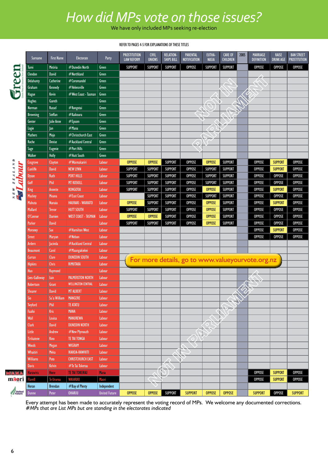## *How did MPs vote on those issues?*

We have only included MPs seeking re-election

#### REFER TO PAGES 4-5 FOR EXPLANATIONS OF THESE TITLES

|                  | Surname           | <b>First Name</b>       | Electorate                   | Party                | <b>PROSTITUTION</b><br><b>LAW REFORM</b> | <b>CIVIL</b><br><b>UNIONS</b> | <b>RELATION-</b><br><b>SHIPS BILL</b> | <b>PARENTAL</b><br><b>NOTIFICATION</b>           | EUTHA-<br><b>NASIA</b> | <b>CARE OF</b><br><b>CHILDREN</b> | 2005 | MARRIAGE<br><b>DEFINITION</b> | <b>RAISE</b><br><b>DRINK AGE</b> | <b>BAN STREET</b><br><b>PROSTITUTION</b> |
|------------------|-------------------|-------------------------|------------------------------|----------------------|------------------------------------------|-------------------------------|---------------------------------------|--------------------------------------------------|------------------------|-----------------------------------|------|-------------------------------|----------------------------------|------------------------------------------|
|                  | Turei             | <b>Metiria</b>          | #Dunedin North               | Green                | <b>SUPPORT</b>                           | <b>SUPPORT</b>                | <b>SUPPORT</b>                        | <b>OPPOSE</b>                                    | <b>SUPPORT</b>         | <b>SUPPORT</b>                    |      | <b>OPPOSE</b>                 | <b>OPPOSE</b>                    | <b>OPPOSE</b>                            |
|                  | <b>Clendon</b>    | <b>David</b>            | #Northland                   | Green                |                                          |                               |                                       |                                                  |                        |                                   |      |                               |                                  |                                          |
|                  | <b>Delahunty</b>  | Catherine               | #Coromandel                  | Green                |                                          |                               |                                       |                                                  |                        |                                   |      |                               |                                  |                                          |
|                  | Graham            | Kennedy                 | #Helensville                 | Green                |                                          |                               |                                       |                                                  |                        |                                   |      |                               |                                  |                                          |
|                  | Hague             | Kevin                   | #West Coast - Tasman         | Green                |                                          |                               |                                       |                                                  |                        |                                   |      |                               |                                  |                                          |
|                  | <b>Hughes</b>     | Gareth                  |                              | Green                |                                          |                               |                                       |                                                  |                        |                                   |      |                               |                                  |                                          |
|                  | Norman            | <b>Russel</b>           | #Rongotai                    | Green                |                                          |                               |                                       |                                                  |                        |                                   |      |                               |                                  |                                          |
|                  | <b>Browning</b>   | Steffan                 | #Kaikoura                    | Green                |                                          |                               |                                       |                                                  |                        |                                   |      |                               |                                  |                                          |
|                  | Genter            | Julie Anne              | $#E$ psom                    | Green                |                                          |                               |                                       |                                                  |                        |                                   |      |                               |                                  |                                          |
|                  | Logie             | lan                     | #Mana                        | Green                |                                          |                               |                                       |                                                  |                        |                                   |      |                               |                                  |                                          |
|                  | Mathers           | Mojo                    | #Christchurch East           | Green                |                                          |                               |                                       |                                                  |                        |                                   |      |                               |                                  |                                          |
|                  | Roche             | <b>Denise</b>           | #Auckland Central            | Green                |                                          |                               |                                       |                                                  |                        |                                   |      |                               |                                  |                                          |
|                  | Sage              | <b>Eugenie</b>          | #Port Hills                  | Green                |                                          |                               |                                       |                                                  |                        |                                   |      |                               |                                  |                                          |
|                  | Walker            | Holly                   | #Hutt South                  | Green                |                                          |                               |                                       |                                                  |                        |                                   |      |                               |                                  |                                          |
| ۵                | Cosgrove          | Clayton                 | #Waimakariri                 | Labour               | <b>OPPOSE</b>                            | <b>OPPOSE</b>                 | <b>SUPPORT</b>                        | <b>OPPOSE</b>                                    | <b>OPPOSE</b>          | <b>SUPPORT</b>                    |      | <b>OPPOSE</b>                 | <b>SUPPORT</b>                   | <b>OPPOSE</b>                            |
| ż,<br>hour<br>۳  | <b>Cunliffe</b>   | <b>David</b>            | <b>NEW LYNN</b>              | Labour               | <b>SUPPORT</b>                           | <b>SUPPORT</b>                | <b>SUPPORT</b>                        | <b>OPPOSE</b>                                    | <b>SUPPORT</b>         | <b>SUPPORT</b>                    |      | <b>OPPOSE</b>                 | <b>SUPPORT</b>                   | <b>OPPOSE</b>                            |
| پ                | <b>Dyson</b>      | <b>Ruth</b>             | <b>PORT HILLS</b>            | <b>Labour</b>        | <b>SUPPORT</b>                           | <b>SUPPORT</b>                | <b>SUPPORT</b>                        | <b>OPPOSE</b>                                    | <b>SUPPORT</b>         | <b>SUPPORT</b>                    |      | <b>OPPOSE</b>                 | <b>OPPOSE</b>                    | <b>OPPOSE</b>                            |
|                  | Goff              | Phil                    | <b>MT ROSKILL</b>            | Labour               | <b>SUPPORT</b>                           | <b>SUPPORT</b>                | <b>SUPPORT</b>                        | <b>OPPOSE</b>                                    | <b>SUPPORT</b>         | <b>SUPPORT</b>                    |      | <b>OPPOSE</b>                 | <b>OPPOSE</b>                    | <b>OPPOSE</b>                            |
|                  | King              | Annette                 | <b>RONGOTAI</b>              | Labour               | <b>SUPPORT</b>                           | <b>SUPPORT</b>                | <b>SUPPORT</b>                        | <b>OPPOSE</b>                                    | <b>OPPOSE</b>          | <b>SUPPORT</b>                    |      | <b>OPPOSE</b>                 | <b>SUPPORT</b>                   | <b>OPPOSE</b>                            |
|                  | Mackey            | <b>Moana</b>            | #East Coast                  | Labour               |                                          | <b>SUPPORT</b>                | <b>SUPPORT</b>                        | <b>OPPOSE</b>                                    | <b>SUPPORT</b>         | <b>SUPPORT</b>                    |      | <b>OPPOSE</b>                 | <b>OPPOSE</b>                    | <b>OPPOSE</b>                            |
|                  | Mahuta            | <b>Nanaia</b>           | HAURAKI - WAIKATO            | Labour               | <b>OPPOSE</b>                            | <b>SUPPORT</b>                | <b>SUPPORT</b>                        | <b>OPPOSE</b>                                    | <b>OPPOSE</b>          | <b>SUPPORT</b>                    |      | <b>OPPOSE</b>                 | <b>SUPPORT</b>                   | <b>OPPOSE</b>                            |
|                  | <b>Mallard</b>    | <b>Trevor</b>           | <b>HUTT SOUTH</b>            | Labour               | <b>SUPPORT</b>                           | <b>SUPPORT</b>                | <b>SUPPORT</b>                        | <b>OPPOSE</b>                                    | <b>OPPOSE</b>          | <b>SUPPORT</b>                    |      | <b>OPPOSE</b>                 | <b>OPPOSE</b>                    | <b>OPPOSE</b>                            |
|                  | O'Connor          | <b>Damien</b>           | <b>WEST COAST - TASMAN</b>   | Labour               | <b>OPPOSE</b>                            | <b>OPPOSE</b>                 | <b>SUPPORT</b>                        | <b>OPPOSE</b>                                    | <b>OPPOSE</b>          | <b>SUPPORT</b>                    |      | <b>OPPOSE</b>                 | <b>OPPOSE</b>                    | <b>OPPOSE</b>                            |
|                  | Parker            | <b>David</b>            |                              | Labour               | <b>SUPPORT</b>                           | <b>SUPPORT</b>                | <b>SUPPORT</b>                        | <b>OPPOSE</b>                                    | <b>OPPOSE</b>          | <b>SUPPORT</b>                    |      | <b>OPPOSE</b>                 | <b>OPPOSE</b>                    | <b>OPPOSE</b>                            |
|                  |                   |                         | #Hamilton West               | Labour               |                                          |                               |                                       |                                                  |                        |                                   |      | <b>OPPOSE</b>                 | <b>SUPPORT</b>                   | <b>OPPOSE</b>                            |
|                  | <b>Moroney</b>    | Sue                     |                              | Labour               |                                          |                               |                                       |                                                  |                        |                                   |      | <b>OPPOSE</b>                 | <b>OPPOSE</b>                    | <b>OPPOSE</b>                            |
|                  | <b>Street</b>     | Maryan                  | #Nelson<br>#Auckland Central | Labour               |                                          |                               |                                       |                                                  |                        |                                   |      |                               |                                  |                                          |
|                  | Ardern            | <b>Jacinda</b><br>Carol | #Maungakiekei                | Labour               |                                          |                               |                                       |                                                  |                        |                                   |      |                               |                                  |                                          |
|                  | <b>Beaumont</b>   |                         | <b>DUNEDIN SOUTH</b>         | Labour               |                                          |                               |                                       |                                                  |                        |                                   |      |                               |                                  |                                          |
|                  | Curran            | Clare                   | RIMUTAKA                     |                      |                                          |                               |                                       | For more details, go to www.valueyourvote.org.nz |                        |                                   |      |                               |                                  |                                          |
|                  | <b>Hipkins</b>    | <b>Chris</b>            |                              | Labour               |                                          |                               |                                       |                                                  |                        |                                   |      |                               |                                  |                                          |
|                  | Huo               | Raymond                 |                              | Labour               |                                          |                               |                                       |                                                  |                        |                                   |      |                               |                                  |                                          |
|                  | Lees-Galloway     | lain                    | <b>PALMERSTON NORTH</b>      | Labour               |                                          |                               |                                       |                                                  |                        |                                   |      |                               |                                  |                                          |
|                  | <b>Robertson</b>  | Grant                   | <b>WELLINGTON CENTRAL</b>    | Labour               |                                          |                               |                                       |                                                  |                        |                                   |      |                               |                                  |                                          |
|                  | <b>Shearer</b>    | <b>David</b>            | <b>MT ALBERT</b>             | Labour               |                                          |                               |                                       |                                                  |                        |                                   |      |                               |                                  |                                          |
|                  |                   | Su'a William            | <b>MANGERE</b>               | Labour               |                                          |                               |                                       |                                                  |                        |                                   |      |                               |                                  |                                          |
|                  | <b>Twyford</b>    | <b>Phil</b>             | TE ATATU                     | Labour               |                                          |                               |                                       |                                                  |                        |                                   |      |                               |                                  |                                          |
|                  | Faafoi            | Kris                    | <b>MANA</b>                  | Labour               |                                          |                               |                                       |                                                  |                        |                                   |      |                               |                                  |                                          |
|                  | Wall              | Louisa                  | <b>MANUREWA</b>              | Labour               |                                          |                               |                                       |                                                  |                        |                                   |      |                               |                                  |                                          |
|                  | Clark             | <b>David</b>            | <b>DUNEDIN NORTH</b>         | Labour               |                                          |                               |                                       |                                                  |                        |                                   |      |                               |                                  |                                          |
|                  | Little            | Andrew                  | #New Plymouth                | Labour               |                                          |                               |                                       |                                                  |                        |                                   |      |                               |                                  |                                          |
|                  | <b>Tirikatene</b> | <b>Rino</b>             | TE TAI TONGA                 | Labour               |                                          |                               |                                       |                                                  |                        |                                   |      |                               |                                  |                                          |
|                  | <b>Woods</b>      | Megan                   | <b>WIGRAM</b>                | Labour               |                                          |                               |                                       |                                                  |                        |                                   |      |                               |                                  |                                          |
|                  | Whaitiri          | Meka                    | IKAROA-RAWHITI               | Labour               |                                          |                               |                                       |                                                  |                        |                                   |      |                               |                                  |                                          |
|                  | <b>Williams</b>   | Poto                    | <b>CHRISTCHURCH EAST</b>     | Labour               |                                          |                               |                                       |                                                  |                        |                                   |      |                               |                                  |                                          |
|                  | <b>Davis</b>      | <b>Kelvin</b>           | #Te Tai Tokerau              | Labour               |                                          |                               |                                       |                                                  |                        |                                   |      |                               |                                  |                                          |
| 医反应及             | <b>Harawira</b>   | Hone                    | <b>TE TAI TOKERAU</b>        | <b>Mana</b>          |                                          |                               |                                       |                                                  |                        |                                   |      | <b>OPPOSE</b>                 | <b>SUPPORT</b>                   | <b>OPPOSE</b>                            |
| māəri            | <b>Flavell</b>    | Te Ururoa               | <b>WAIARIKI</b>              | Maori                |                                          |                               |                                       |                                                  |                        |                                   |      | <b>OPPOSE</b>                 | <b>SUPPORT</b>                   | <b>OPPOSE</b>                            |
|                  | Horan             | <b>Brendan</b>          | #Bay of Plenty               | Independent          |                                          |                               |                                       |                                                  |                        |                                   |      |                               |                                  |                                          |
| United<br>Future | <b>Dunne</b>      | Peter                   | <b>OHARIU</b>                | <b>United Future</b> | <b>OPPOSE</b>                            | <b>OPPOSE</b>                 | <b>SUPPORT</b>                        | <b>SUPPORT</b>                                   | <b>OPPOSE</b>          | <b>OPPOSE</b>                     |      | <b>SUPPORT</b>                | <b>OPPOSE</b>                    | <b>SUPPORT</b>                           |

Every attempt has been made to accurately represent the voting record of MPs. We welcome any documented corrections. *#MPs that are List MPs but are standing in the electorates indicated*

**M**W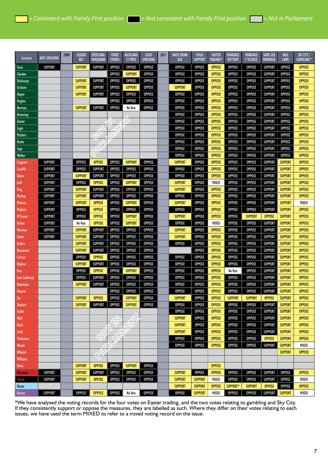| Surname                  | ANTI-SMACKING                    | 2008 | <b>LIQUOR</b><br><b>ADS</b> | MEDICINAL<br><b>MARIJUANA</b>  | <b>THREE</b><br><b>STRIKES</b> | <b>AUCKLAND</b><br>ST PROS      | <b>LIGHT</b><br><b>SMACKING</b> | 2011 | <b>RAISE DRINK</b><br>AGE | <b>CHILD</b><br><b>SUPPORT</b> | <b>EASTER</b><br><b>TRADING*</b> | <b>MARRIAGE</b><br><b>REF'DUM</b> | MARRIAGE<br><b>C'SCIENCE</b>   | SAME-SEX<br><b>MARRIAGE</b>      | <b>BAIL</b><br>LAWS              | SKY CITY /<br>GAMBLING* |
|--------------------------|----------------------------------|------|-----------------------------|--------------------------------|--------------------------------|---------------------------------|---------------------------------|------|---------------------------|--------------------------------|----------------------------------|-----------------------------------|--------------------------------|----------------------------------|----------------------------------|-------------------------|
| Turei                    | <b>SUPPORT</b>                   |      | <b>SUPPORT</b>              | <b>SUPPORT</b>                 | <b>OPPOSE</b>                  | <b>OPPOSE</b>                   | <b>OPPOSE</b>                   |      | <b>OPPOSE</b>             | <b>OPPOSE</b>                  | <b>OPPOSE</b>                    | <b>OPPOSE</b>                     | <b>OPPOSE</b>                  | <b>SUPPORT</b>                   | <b>OPPOSE</b>                    | <b>OPPOSE</b>           |
| <b>Clendon</b>           |                                  |      |                             |                                | <b>OPPOSE</b>                  | <b>SUPPORT</b>                  | <b>OPPOSE</b>                   |      | <b>OPPOSE</b>             | <b>OPPOSE</b>                  | <b>OPPOSE</b>                    | <b>OPPOSE</b>                     | <b>OPPOSE</b>                  | <b>SUPPORT</b>                   | <b>OPPOSE</b>                    | <b>OPPOSE</b>           |
| <b>Delahunty</b>         |                                  |      | <b>SUPPORT</b>              | <b>SUPPORT</b>                 | <b>OPPOSE</b>                  | <b>OPPOSE</b>                   | <b>OPPOSE</b>                   |      | OPPOSE                    | <b>OPPOSE</b>                  | <b>OPPOSE</b>                    | <b>OPPOSE</b>                     | <b>OPPOSE</b>                  | <b>SUPPORT</b>                   | <b>OPPOSE</b>                    | <b>OPPOSE</b>           |
| Graham                   |                                  |      | <b>SUPPORT</b>              | <b>SUPPORT</b>                 | <b>OPPOSE</b>                  | <b>SUPPORT</b>                  | <b>OPPOSE</b>                   |      | <b>SUPPORT</b>            | <b>OPPOSE</b>                  | <b>OPPOSE</b>                    | <b>OPPOSE</b>                     | <b>OPPOSE</b>                  | <b>SUPPORT</b>                   | <b>OPPOSE</b>                    | <b>OPPOSE</b>           |
| Hague                    |                                  |      | <b>SUPPORT</b>              | <b>SUPPORT</b>                 | <b>OPPOSE</b>                  | <b>OPPOSE</b>                   | <b>OPPOSE</b>                   |      | <b>OPPOSE</b>             | <b>OPPOSE</b>                  | <b>OPPOSE</b>                    | <b>OPPOSE</b>                     | <b>OPPOSE</b>                  | <b>SUPPORT</b>                   | <b>OPPOSE</b>                    | <b>OPPOSE</b>           |
| <b>Hughes</b>            |                                  |      |                             |                                | <b>OPPOSE</b>                  | <b>OPPOSE</b>                   | <b>OPPOSE</b>                   |      | <b>OPPOSE</b>             | <b>OPPOSE</b>                  | <b>OPPOSE</b>                    | <b>OPPOSE</b>                     | <b>OPPOSE</b>                  | <b>SUPPORT</b>                   | <b>OPPOSE</b>                    | <b>OPPOSE</b>           |
| Norman                   |                                  |      | <b>SUPPORT</b>              | <b>SUPPORT</b>                 | <b>OPPOSE</b>                  | No Vote                         | <b>OPPOSE</b>                   |      | <b>OPPOSE</b>             | <b>OPPOSE</b>                  | <b>OPPOSE</b>                    | <b>OPPOSE</b>                     | <b>OPPOSE</b>                  | <b>SUPPORT</b>                   | <b>OPPOSE</b>                    | <b>OPPOSE</b>           |
| <b>Browning</b>          |                                  |      |                             |                                |                                |                                 |                                 |      | <b>OPPOSE</b>             | <b>OPPOSE</b>                  | <b>OPPOSE</b>                    | <b>OPPOSE</b>                     | <b>OPPOSE</b>                  | <b>SUPPORT</b>                   | <b>OPPOSE</b>                    | <b>OPPOSE</b>           |
| Genter                   |                                  |      |                             |                                |                                |                                 |                                 |      | <b>OPPOSE</b>             | <b>OPPOSE</b>                  | <b>OPPOSE</b>                    | <b>OPPOSE</b>                     | <b>OPPOSE</b>                  | <b>SUPPORT</b>                   | <b>OPPOSE</b>                    | <b>OPPOSE</b>           |
| Logie                    |                                  |      |                             |                                |                                |                                 |                                 |      | <b>OPPOSE</b>             | <b>OPPOSE</b>                  | <b>OPPOSE</b>                    | <b>OPPOSE</b>                     | <b>OPPOSE</b>                  | <b>SUPPORT</b>                   | <b>OPPOSE</b>                    | <b>OPPOSE</b>           |
| <b>Mathers</b>           |                                  |      |                             |                                |                                |                                 |                                 |      | <b>OPPOSE</b>             | <b>OPPOSE</b>                  | <b>OPPOSE</b>                    | <b>OPPOSE</b>                     | <b>OPPOSE</b>                  | <b>SUPPORT</b>                   | <b>OPPOSE</b>                    | <b>OPPOSE</b>           |
| Roche                    |                                  |      |                             |                                |                                |                                 |                                 |      | <b>OPPOSE</b>             | <b>OPPOSE</b>                  | <b>OPPOSE</b>                    | <b>OPPOSE</b>                     | <b>OPPOSE</b>                  | <b>SUPPORT</b>                   | <b>OPPOSE</b>                    | <b>OPPOSE</b>           |
| Sage                     |                                  |      |                             |                                |                                |                                 |                                 |      | <b>OPPOSE</b>             | <b>OPPOSE</b>                  | <b>OPPOSE</b>                    | <b>OPPOSE</b>                     | <b>OPPOSE</b>                  | <b>SUPPORT</b>                   | <b>OPPOSE</b>                    | <b>OPPOSE</b>           |
| Walker                   |                                  |      |                             |                                |                                |                                 |                                 |      | <b>OPPOSE</b>             | <b>OPPOSE</b>                  | <b>OPPOSE</b>                    | <b>OPPOSE</b>                     | <b>OPPOSE</b>                  | <b>SUPPORT</b>                   | <b>OPPOSE</b>                    | <b>OPPOSE</b>           |
| Cosgrove                 | <b>SUPPORT</b>                   |      | <b>OPPOSE</b>               | <b>OPPOSE</b>                  | <b>OPPOSE</b>                  | <b>SUPPORT</b>                  | <b>OPPOSE</b>                   |      | <b>SUPPORT</b>            | <b>OPPOSE</b>                  | <b>OPPOSE</b>                    | <b>OPPOSE</b>                     | <b>OPPOSE</b>                  | <b>SUPPORT</b>                   | <b>SUPPORT</b>                   | <b>OPPOSE</b>           |
| <b>Cunliffe</b>          | <b>SUPPORT</b>                   |      | <b>OPPOSE</b>               | <b>SUPPORT</b>                 | <b>OPPOSE</b>                  | <b>OPPOSE</b>                   | <b>OPPOSE</b>                   |      | <b>OPPOSE</b>             | <b>OPPOSE</b>                  | <b>OPPOSE</b>                    | <b>OPPOSE</b>                     | <b>OPPOSE</b>                  | <b>SUPPORT</b>                   | <b>SUPPORT</b>                   | <b>OPPOSE</b>           |
| <b>Dyson</b>             | <b>SUPPORT</b>                   |      | <b>SUPPORT</b>              | <b>SUPPORT</b>                 | <b>OPPOSE</b>                  | <b>OPPOSE</b>                   | <b>OPPOSE</b>                   |      | <b>OPPOSE</b>             | <b>OPPOSE</b>                  | <b>OPPOSE</b>                    | <b>OPPOSE</b>                     | <b>OPPOSE</b>                  | <b>SUPPORT</b>                   | <b>SUPPORT</b>                   | <b>OPPOSE</b>           |
| Goff                     | <b>SUPPORT</b>                   |      | <b>OPPOSE</b>               | <b>OPPOSE</b>                  | <b>OPPOSE</b>                  | <b>SUPPORT</b>                  | <b>OPPOSE</b>                   |      | <b>SUPPORT</b>            | <b>OPPOSE</b>                  | MIXED                            | <b>OPPOSE</b>                     | <b>OPPOSE</b>                  | <b>SUPPORT</b>                   | <b>SUPPORT</b>                   | <b>OPPOSE</b>           |
|                          | <b>SUPPORT</b>                   |      | <b>SUPPORT</b>              | <b>SUPPORT</b>                 | <b>OPPOSE</b>                  | <b>OPPOSE</b>                   | <b>OPPOSE</b>                   |      | <b>SUPPORT</b>            | <b>OPPOSE</b>                  | <b>OPPOSE</b>                    | <b>OPPOSE</b>                     | <b>OPPOSE</b>                  | <b>SUPPORT</b>                   | <b>SUPPORT</b>                   | <b>OPPOSE</b>           |
| King                     | <b>SUPPORT</b>                   |      | <b>SUPPORT</b>              | <b>SUPPORT</b>                 | <b>OPPOSE</b>                  | <b>OPPOSE</b>                   | <b>OPPOSE</b>                   |      | <b>OPPOSE</b>             | <b>OPPOSE</b>                  | <b>OPPOSE</b>                    | <b>OPPOSE</b>                     | <b>OPPOSE</b>                  | <b>SUPPORT</b>                   | <b>SUPPORT</b>                   | <b>OPPOSE</b>           |
| Mackey                   |                                  |      | <b>SUPPORT</b>              |                                | <b>OPPOSE</b>                  |                                 |                                 |      | <b>SUPPORT</b>            | <b>OPPOSE</b>                  |                                  |                                   |                                |                                  | <b>SUPPORT</b>                   | MIXED                   |
| Mahuta<br>Mallard        | <b>SUPPORT</b><br><b>SUPPORT</b> |      | <b>OPPOSE</b>               | <b>OPPOSE</b><br><b>OPPOSE</b> | <b>OPPOSE</b>                  | <b>SUPPORT</b><br><b>OPPOSE</b> | <b>OPPOSE</b><br><b>OPPOSE</b>  |      | OPPOSE                    | <b>OPPOSE</b>                  | <b>OPPOSE</b><br><b>OPPOSE</b>   | <b>OPPOSE</b><br><b>OPPOSE</b>    | <b>OPPOSE</b><br><b>OPPOSE</b> | <b>SUPPORT</b><br><b>SUPPORT</b> | <b>SUPPORT</b>                   | <b>OPPOSE</b>           |
|                          | <b>SUPPORT</b>                   |      | <b>OPPOSE</b>               | <b>OPPOSE</b>                  | <b>OPPOSE</b>                  | <b>SUPPORT</b>                  | <b>OPPOSE</b>                   |      | <b>SUPPORT</b>            | <b>OPPOSE</b>                  | <b>OPPOSE</b>                    | <b>OPPOSE</b>                     | <b>SUPPORT</b>                 | <b>OPPOSE</b>                    | <b>SUPPORT</b>                   | <b>OPPOSE</b>           |
| O'Connor                 | <b>SUPPORT</b>                   |      | No Vote                     | <b>OPPOSE</b>                  | <b>OPPOSE</b>                  | <b>SUPPORT</b>                  | <b>OPPOSE</b>                   |      | <b>OPPOSE</b>             | <b>OPPOSE</b>                  | MIXED                            | <b>OPPOSE</b>                     | <b>OPPOSE</b>                  | <b>SUPPORT</b>                   | <b>SUPPORT</b>                   | <b>OPPOSE</b>           |
| Parker                   | <b>SUPPORT</b>                   |      | <b>SUPPORT</b>              | <b>SUPPORT</b>                 | <b>OPPOSE</b>                  | <b>OPPOSE</b>                   | <b>OPPOSE</b>                   |      | <b>SUPPORT</b>            | <b>OPPOSE</b>                  | <b>OPPOSE</b>                    | <b>OPPOSE</b>                     | <b>OPPOSE</b>                  | <b>SUPPORT</b>                   | <b>SUPPORT</b>                   | <b>OPPOSE</b>           |
| Moroney                  | <b>SUPPORT</b>                   |      | <b>SUPPORT</b>              | <b>SUPPORT</b>                 | <b>OPPOSE</b>                  | <b>OPPOSE</b>                   | <b>OPPOSE</b>                   |      | <b>SUPPORT</b>            | <b>OPPOSE</b>                  | <b>OPPOSE</b>                    | <b>OPPOSE</b>                     | <b>OPPOSE</b>                  | <b>SUPPORT</b>                   | <b>SUPPORT</b>                   | <b>OPPOSE</b>           |
| Street                   |                                  |      | <b>SUPPORT</b>              | <b>SUPPORT</b>                 | <b>OPPOSE</b>                  | <b>OPPOSE</b>                   | <b>OPPOSE</b>                   |      | <b>OPPOSE</b>             | <b>OPPOSE</b>                  | <b>OPPOSE</b>                    | <b>OPPOSE</b>                     | <b>OPPOSE</b>                  | <b>SUPPORT</b>                   | <b>SUPPORT</b>                   | <b>OPPOSE</b>           |
| Ardern                   |                                  |      | <b>SUPPORT</b>              | <b>SUPPORT</b>                 | <b>OPPOSE</b>                  | <b>OPPOSE</b>                   | <b>OPPOSE</b>                   |      |                           | <b>OPPOSE</b>                  | <b>OPPOSE</b>                    | <b>OPPOSE</b>                     | <b>OPPOSE</b>                  | <b>SUPPORT</b>                   | <b>SUPPORT</b>                   | <b>OPPOSE</b>           |
| Beaumont                 |                                  |      | <b>OPPOSE</b>               | <b>OPPOSE</b>                  | <b>OPPOSE</b>                  | <b>OPPOSE</b>                   | <b>OPPOSE</b>                   |      | <b>OPPOSE</b>             | <b>OPPOSE</b>                  | <b>OPPOSE</b>                    | <b>OPPOSE</b>                     | <b>OPPOSE</b>                  | <b>SUPPORT</b>                   | <b>SUPPORT</b>                   | <b>OPPOSE</b>           |
| Curran<br><b>Hipkins</b> |                                  |      | <b>SUPPORT</b>              | <b>SUPPORT</b>                 | <b>OPPOSE</b>                  | <b>OPPOSE</b>                   | <b>OPPOSE</b>                   |      | <b>OPPOSE</b>             | <b>OPPOSE</b>                  | <b>OPPOSE</b>                    | <b>OPPOSE</b>                     | <b>OPPOSE</b>                  | <b>SUPPORT</b>                   | <b>SUPPORT</b>                   | <b>OPPOSE</b>           |
| Huo                      |                                  |      | <b>OPPOSE</b>               | <b>OPPOSE</b>                  | <b>OPPOSE</b>                  | <b>SUPPORT</b>                  | <b>OPPOSE</b>                   |      | <b>OPPOSE</b>             | <b>OPPOSE</b>                  | <b>OPPOSE</b>                    | No Vote                           | <b>OPPOSE</b>                  | <b>SUPPORT</b>                   | <b>SUPPORT</b>                   | <b>OPPOSE</b>           |
| Lees-Galloway            |                                  |      | <b>OPPOSE</b>               | <b>SUPPORT</b>                 | <b>OPPOSE</b>                  | <b>OPPOSE</b>                   | <b>OPPOSE</b>                   |      | <b>OPPOSE</b>             | <b>OPPOSE</b>                  | <b>OPPOSE</b>                    | <b>OPPOSE</b>                     | <b>OPPOSE</b>                  | <b>SUPPORT</b>                   | <b>SUPPORT</b>                   | <b>OPPOSE</b>           |
| Robertson                |                                  |      | <b>SUPPORT</b>              | <b>SUPPORT</b>                 | <b>OPPOSE</b>                  | <b>OPPOSE</b>                   | <b>OPPOSE</b>                   |      | <b>OPPOSE</b>             | <b>OPPOSE</b>                  | <b>OPPOSE</b>                    | <b>OPPOSE</b>                     | <b>OPPOSE</b>                  | <b>SUPPORT</b>                   | <b>SUPPORT</b>                   | <b>OPPOSE</b>           |
| <b>Shearer</b>           |                                  |      |                             |                                | <b>OPPOSE</b>                  | <b>OPPOSE</b>                   | <b>OPPOSE</b>                   |      | <b>OPPOSE</b>             | <b>OPPOSE</b>                  | <b>OPPOSE</b>                    | <b>OPPOSE</b>                     | <b>OPPOSE</b>                  | <b>SUPPORT</b>                   | <b>SUPPORT</b>                   | <b>OPPOSE</b>           |
| Sio                      |                                  |      | <b>SUPPORT</b>              | <b>OPPOSE</b>                  | <b>OPPOSE</b>                  | <b>SUPPORT</b>                  | <b>OPPOSE</b>                   |      | <b>SUPPORT</b>            | <b>OPPOSE</b>                  | <b>OPPOSE</b>                    | <b>SUPPORT</b>                    | <b>SUPPORT</b>                 | <b>OPPOSE</b>                    | <b>SUPPORT</b>                   | <b>OPPOSE</b>           |
|                          |                                  |      | <b>SUPPORT</b>              | <b>SUPPORT</b>                 | <b>OPPOSE</b>                  | <b>SUPPORT</b>                  | <b>OPPOSE</b>                   |      | <b>OPPOSE</b>             | <b>OPPOSE</b>                  | <b>OPPOSE</b>                    |                                   | <b>OPPOSE</b>                  |                                  |                                  | <b>OPPOSE</b>           |
| <b>Twyford</b><br>Faafoi |                                  |      |                             |                                |                                |                                 |                                 |      | <b>OPPOSE</b>             | <b>OPPOSE</b>                  | <b>OPPOSE</b>                    | <b>OPPOSE</b><br><b>OPPOSE</b>    | <b>OPPOSE</b>                  | <b>SUPPORT</b><br><b>SUPPORT</b> | <b>SUPPORT</b><br><b>SUPPORT</b> | <b>OPPOSE</b>           |
| Wall                     |                                  |      |                             |                                |                                |                                 |                                 |      | <b>SUPPORT</b>            | <b>OPPOSE</b>                  | <b>OPPOSE</b>                    | <b>OPPOSE</b>                     | <b>OPPOSE</b>                  | <b>SUPPORT</b>                   | <b>SUPPORT</b>                   | <b>OPPOSE</b>           |
|                          |                                  |      |                             |                                |                                |                                 |                                 |      | <b>SUPPORT</b>            | <b>OPPOSE</b>                  | <b>OPPOSE</b>                    | <b>OPPOSE</b>                     | <b>OPPOSE</b>                  | <b>SUPPORT</b>                   | <b>SUPPORT</b>                   | <b>OPPOSE</b>           |
| <b>Clark</b>             |                                  |      |                             |                                |                                |                                 |                                 |      | <b>SUPPORT</b>            |                                | <b>OPPOSE</b>                    |                                   |                                |                                  | <b>SUPPORT</b>                   | <b>OPPOSE</b>           |
| Little                   |                                  |      |                             |                                |                                |                                 |                                 |      | <b>OPPOSE</b>             | <b>OPPOSE</b><br><b>OPPOSE</b> | <b>OPPOSE</b>                    | <b>OPPOSE</b><br><b>OPPOSE</b>    | <b>OPPOSE</b><br><b>OPPOSE</b> | <b>SUPPORT</b><br><b>OPPOSE</b>  | <b>SUPPORT</b>                   | <b>OPPOSE</b>           |
| <b>Tirikatene</b>        |                                  |      |                             |                                |                                |                                 |                                 |      |                           |                                |                                  |                                   |                                |                                  |                                  |                         |
| Woods                    |                                  |      |                             |                                |                                |                                 |                                 |      | <b>OPPOSE</b>             | <b>OPPOSE</b>                  | <b>OPPOSE</b>                    | <b>OPPOSE</b>                     | <b>OPPOSE</b>                  | <b>SUPPORT</b>                   | <b>SUPPORT</b><br><b>SUPPORT</b> | MIXED<br><b>OPPOSE</b>  |
| Whaitiri                 |                                  |      |                             | لاهک                           |                                |                                 |                                 |      |                           |                                |                                  |                                   |                                |                                  |                                  |                         |
| Williams                 |                                  |      |                             |                                |                                |                                 | <b>OPPOSE</b>                   |      |                           |                                |                                  |                                   |                                |                                  |                                  |                         |
| <b>Davis</b>             |                                  |      | <b>SUPPORT</b>              | <b>OPPOSE</b>                  | <b>OPPOSE</b>                  | <b>SUPPORT</b>                  |                                 |      |                           |                                | <b>OPPOSE</b>                    |                                   |                                |                                  |                                  |                         |
| <b>Harawira</b>          | <b>SUPPORT</b>                   |      | <b>SUPPORT</b>              | <b>SUPPORT</b>                 | <b>OPPOSE</b>                  | <b>OPPOSE</b>                   | <b>OPPOSE</b>                   |      | <b>SUPPORT</b>            | <b>OPPOSE</b>                  | <b>OPPOSE</b>                    | <b>OPPOSE</b>                     | <b>OPPOSE</b>                  | <b>SUPPORT</b>                   | <b>OPPOSE</b>                    | <b>OPPOSE</b>           |
| <b>Flavell</b>           | <b>SUPPORT</b>                   |      | <b>SUPPORT</b>              | <b>OPPOSE</b>                  | <b>OPPOSE</b>                  | <b>OPPOSE</b>                   | <b>OPPOSE</b>                   |      | <b>SUPPORT</b>            | <b>SUPPORT</b>                 | MIXED                            | <b>OPPOSE</b>                     | <b>OPPOSE</b>                  | <b>SUPPORT</b>                   | <b>OPPOSE</b>                    | MIXED                   |
| Horan                    |                                  |      |                             |                                |                                |                                 |                                 |      | <b>SUPPORT</b>            | <b>SUPPORT</b>                 | <b>OPPOSE</b>                    | SUPPORT*                          | <b>SUPPORT</b>                 | <b>OPPOSE</b>                    | <b>OPPOSE</b>                    | <b>OPPOSE</b>           |
| <b>Dunne</b>             | <b>SUPPORT</b>                   |      | <b>OPPOSE</b>               | <b>OPPOSE</b>                  | <b>OPPOSE</b>                  | No Vote                         | <b>OPPOSE</b>                   |      | <b>OPPOSE</b>             | <b>SUPPORT</b>                 | MIXED                            | <b>OPPOSE</b>                     | <b>OPPOSE</b>                  | SUPPORT SUPPORT                  |                                  | MIXED                   |

\*We have analysed the voting records for the four votes on Easter trading, and the two votes relating to gambling and Sky City. If they consistently support or oppose the measures, they are labelled as such. Where they differ on their votes relating to each issues, we have used the term MIXED to refer to a mixed voting record on the issue.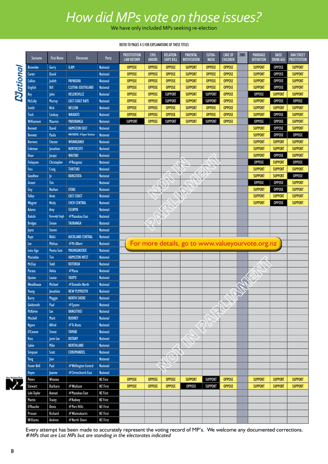### *How did MPs vote on those issues?*

We have only included MPs seeking re-election

#### REFER TO PAGES 4-5 FOR EXPLANATIONS OF THESE TITLES

|          | Surname                   | <b>First Name</b>      | <b>Electorate</b>        | Party           | <b>PROSTITUTION</b><br><b>LAW REFORM</b> | <b>CIVIL</b><br><b>UNIONS</b> | <b>RELATION-</b><br><b>SHIPS BILL</b> | <b>PARENTAL</b><br><b>NOTIFICATION</b> | EUTHA-<br><b>NASIA</b> | <b>CARE OF</b><br><b>CHILDREN</b> | 2005 | MARRIAGE<br><b>DEFINITION</b>                    | <b>RAISE</b><br><b>DRINK AGE</b> | <b>BAN STREET</b><br><b>PROSTITUTION</b> |
|----------|---------------------------|------------------------|--------------------------|-----------------|------------------------------------------|-------------------------------|---------------------------------------|----------------------------------------|------------------------|-----------------------------------|------|--------------------------------------------------|----------------------------------|------------------------------------------|
|          | <b>Brownlee</b>           | Gerry                  | <b>ILAM</b>              | <b>National</b> | <b>OPPOSE</b>                            | <b>OPPOSE</b>                 | <b>OPPOSE</b>                         | <b>SUPPORT</b>                         | <b>OPPOSE</b>          | <b>OPPOSE</b>                     |      | <b>SUPPORT</b>                                   | <b>OPPOSE</b>                    | <b>SUPPORT</b>                           |
|          | Carter                    | <b>David</b>           |                          | <b>National</b> | <b>OPPOSE</b>                            | <b>OPPOSE</b>                 | <b>OPPOSE</b>                         | <b>SUPPORT</b>                         | <b>OPPOSE</b>          | <b>OPPOSE</b>                     |      | <b>SUPPORT</b>                                   | <b>OPPOSE</b>                    | <b>SUPPORT</b>                           |
|          | <b>Collins</b>            | Judith                 | <b>PAPAKURA</b>          | <b>National</b> | <b>OPPOSE</b>                            | <b>OPPOSE</b>                 | <b>OPPOSE</b>                         | <b>SUPPORT</b>                         | <b>OPPOSE</b>          | <b>OPPOSE</b>                     |      | <b>SUPPORT</b>                                   | <b>OPPOSE</b>                    | <b>SUPPORT</b>                           |
|          | <b>English</b>            | Bill                   | <b>CLUTHA-SOUTHLAND</b>  | <b>National</b> | <b>OPPOSE</b>                            | <b>OPPOSE</b>                 | <b>OPPOSE</b>                         | <b>SUPPORT</b>                         | <b>OPPOSE</b>          | <b>OPPOSE</b>                     |      | <b>SUPPORT</b>                                   | <b>OPPOSE</b>                    | <b>SUPPORT</b>                           |
| National | Key                       | John                   | HELENSVILLE              | <b>National</b> | <b>OPPOSE</b>                            | <b>OPPOSE</b>                 | <b>SUPPORT</b>                        | <b>SUPPORT</b>                         | <b>SUPPORT</b>         | <b>OPPOSE</b>                     |      | <b>OPPOSE</b>                                    | <b>SUPPORT</b>                   | <b>SUPPORT</b>                           |
|          | <b>McCully</b>            | <b>Murray</b>          | <b>EAST COAST BAYS</b>   | <b>National</b> | <b>OPPOSE</b>                            | <b>OPPOSE</b>                 | <b>SUPPORT</b>                        | <b>SUPPORT</b>                         | <b>SUPPORT</b>         | <b>OPPOSE</b>                     |      | <b>SUPPORT</b>                                   | <b>OPPOSE</b>                    | <b>OPPOSE</b>                            |
|          | <b>Smith</b>              | <b>Nick</b>            | <b>NELSON</b>            | <b>National</b> | <b>OPPOSE</b>                            | <b>OPPOSE</b>                 | <b>OPPOSE</b>                         | <b>SUPPORT</b>                         | <b>OPPOSE</b>          | <b>OPPOSE</b>                     |      | <b>SUPPORT</b>                                   | <b>SUPPORT</b>                   | <b>SUPPORT</b>                           |
|          | <b>Tisch</b>              | Lindsay                | <b>WAIKATO</b>           | <b>National</b> | <b>OPPOSE</b>                            | <b>OPPOSE</b>                 | <b>OPPOSE</b>                         | <b>SUPPORT</b>                         | <b>OPPOSE</b>          | <b>OPPOSE</b>                     |      | <b>SUPPORT</b>                                   | <b>OPPOSE</b>                    | <b>SUPPORT</b>                           |
|          | <b>Williamson</b>         | <b>Maurice</b>         | <b>PAKURANGA</b>         | <b>National</b> | <b>SUPPORT</b>                           | <b>OPPOSE</b>                 | <b>SUPPORT</b>                        | <b>SUPPORT</b>                         | <b>SUPPORT</b>         | <b>OPPOSE</b>                     |      | <b>OPPOSE</b>                                    | <b>OPPOSE</b>                    | <b>SUPPORT</b>                           |
|          | <b>Bennett</b>            | <b>David</b>           | <b>HAMILTON EAST</b>     | <b>National</b> |                                          |                               |                                       |                                        |                        |                                   |      | <b>SUPPORT</b>                                   | <b>OPPOSE</b>                    | <b>SUPPORT</b>                           |
|          | <b>Bennett</b>            | Paula                  | WAITAKERE #Upper Harbour | <b>National</b> |                                          |                               |                                       |                                        |                        |                                   |      | <b>SUPPORT</b>                                   | <b>OPPOSE</b>                    | <b>OPPOSE</b>                            |
|          | <b>Borrows</b>            | <b>Chester</b>         | <b>WHANGANUI</b>         | <b>National</b> |                                          |                               |                                       |                                        |                        |                                   |      | <b>SUPPORT</b>                                   | <b>SUPPORT</b>                   | <b>SUPPORT</b>                           |
|          | Coleman                   | Jonathan               | <b>NORTHCOTE</b>         | <b>National</b> |                                          |                               |                                       |                                        |                        |                                   |      | <b>SUPPORT</b>                                   | <b>SUPPORT</b>                   | <b>SUPPORT</b>                           |
|          | Dean                      | Jacqui                 | <b>WAITAKI</b>           | <b>National</b> |                                          |                               |                                       |                                        |                        |                                   |      | <b>SUPPORT</b>                                   | <b>OPPOSE</b>                    | <b>SUPPORT</b>                           |
|          | <b>Finlayson</b>          | Christopher            | #Rongotai                | <b>National</b> |                                          |                               |                                       |                                        |                        |                                   |      | <b>OPPOSE</b>                                    | <b>SUPPORT</b>                   | <b>OPPOSE</b>                            |
|          | Foss                      | Craig                  | <b>TUKITUKI</b>          | <b>National</b> |                                          |                               |                                       |                                        |                        |                                   |      | <b>SUPPORT</b>                                   | <b>SUPPORT</b>                   | <b>SUPPORT</b>                           |
|          | Goodhew                   | $ 0\rangle$            | <b>RANGITATA</b>         | <b>National</b> |                                          |                               |                                       |                                        |                        |                                   |      | <b>SUPPORT</b>                                   | <b>SUPPORT</b>                   | <b>OPPOSE</b>                            |
|          | Groser                    | <b>Tim</b>             |                          | <b>National</b> |                                          |                               |                                       |                                        |                        |                                   |      | <b>OPPOSE</b>                                    | <b>OPPOSE</b>                    | <b>SUPPORT</b>                           |
|          | Guy                       | <b>Nathan</b>          | <b>OTAKI</b>             | <b>National</b> |                                          |                               |                                       |                                        |                        |                                   |      | <b>SUPPORT</b>                                   | <b>OPPOSE</b>                    | <b>SUPPORT</b>                           |
|          | <b>Tolley</b>             | Anne                   | <b>EAST COAST</b>        | <b>National</b> |                                          |                               |                                       |                                        |                        |                                   |      | <b>SUPPORT</b>                                   | <b>SUPPORT</b>                   | <b>SUPPORT</b>                           |
|          | Wagner                    | <b>Nicky</b>           | <b>CHCH CENTRAL</b>      | <b>National</b> |                                          |                               |                                       |                                        |                        |                                   |      | <b>SUPPORT</b>                                   | <b>OPPOSE</b>                    | <b>SUPPORT</b>                           |
|          | <b>Adams</b>              | Amy                    | SELWYN                   | <b>National</b> |                                          |                               |                                       |                                        |                        |                                   |      |                                                  |                                  |                                          |
|          | <b>Bakshi</b>             | <b>Kanwaljit Singh</b> | #Manukau East            | <b>National</b> |                                          |                               |                                       |                                        |                        |                                   |      |                                                  |                                  |                                          |
|          | <b>Bridges</b>            | Simon                  | <b>TAURANGA</b>          | <b>National</b> |                                          |                               |                                       |                                        |                        |                                   |      |                                                  |                                  |                                          |
|          | Joyce                     | <b>Steven</b>          |                          | <b>National</b> |                                          |                               |                                       |                                        |                        |                                   |      |                                                  |                                  |                                          |
|          | Kaye                      | <b>Nikki</b>           | <b>AUCKLAND CENTRAL</b>  | <b>National</b> |                                          |                               |                                       |                                        |                        |                                   |      |                                                  |                                  |                                          |
|          | Lee                       | <b>Melissa</b>         | #Mt Albert               | <b>National</b> |                                          |                               |                                       |                                        |                        |                                   |      | For more details, go to www.valueyourvote.org.nz |                                  |                                          |
|          | Lotu-liga                 | Peseta Sam             | MAUNGAKIEKIE             | <b>National</b> |                                          |                               |                                       |                                        |                        |                                   |      |                                                  |                                  |                                          |
|          | <b>Macindoe</b>           | Tim                    | <b>HAMILTON WEST</b>     | <b>National</b> |                                          |                               |                                       |                                        |                        |                                   |      |                                                  |                                  |                                          |
|          | <b>McClay</b>             | <b>Todd</b>            | <b>ROTORUA</b>           | <b>National</b> |                                          |                               |                                       |                                        |                        |                                   |      |                                                  |                                  |                                          |
|          | Parata                    | <b>Hekia</b>           | #Mana                    | <b>National</b> |                                          |                               |                                       |                                        |                        |                                   |      |                                                  |                                  |                                          |
|          | <b>Upston</b>             | Louise                 | <b>TAUPO</b>             | <b>National</b> |                                          |                               |                                       |                                        |                        |                                   |      |                                                  |                                  |                                          |
|          | Woodhouse                 | Michael                | #Dunedin North           | <b>National</b> |                                          |                               |                                       |                                        |                        |                                   |      |                                                  |                                  |                                          |
|          | Young                     | <b>Jonathan</b>        | <b>NEW PLYMOUTH</b>      | <b>National</b> |                                          |                               |                                       |                                        |                        |                                   |      |                                                  |                                  |                                          |
|          |                           | Maggie                 | <b>NORTH SHORE</b>       | <b>National</b> |                                          |                               |                                       |                                        |                        |                                   |      |                                                  |                                  |                                          |
|          | <b>barry</b><br>Goldsmith | Paul                   | #Epsom                   | <b>National</b> |                                          |                               |                                       |                                        |                        |                                   |      |                                                  |                                  |                                          |
|          | <b>McKelvie</b>           | lan                    | RANGITIKEI               | <b>National</b> |                                          |                               |                                       |                                        |                        |                                   |      |                                                  |                                  |                                          |
|          | Mitchell                  | Mark                   | <b>RODNEY</b>            | <b>National</b> |                                          |                               |                                       |                                        |                        |                                   |      |                                                  |                                  |                                          |
|          | <b>Ngaro</b>              | <b>Alfred</b>          | #Te Atatu                | <b>National</b> |                                          |                               |                                       |                                        |                        |                                   |      |                                                  |                                  |                                          |
|          | O'Connor                  | Simon                  | <b>TAMAKI</b>            | <b>National</b> |                                          |                               |                                       |                                        |                        |                                   |      |                                                  |                                  |                                          |
|          | Ross                      | Jami-Lee               | <b>BOTANY</b>            | <b>National</b> |                                          |                               |                                       |                                        |                        |                                   |      |                                                  |                                  |                                          |
|          | Sabin                     | Mike                   | <b>NORTHLAND</b>         | <b>National</b> |                                          |                               |                                       |                                        |                        |                                   |      |                                                  |                                  |                                          |
|          | Simpson                   | Scott                  | COROMANDEL               | <b>National</b> |                                          |                               |                                       |                                        |                        |                                   |      |                                                  |                                  |                                          |
|          | Yang                      | Jian                   |                          | <b>National</b> |                                          |                               |                                       |                                        |                        |                                   |      |                                                  |                                  |                                          |
|          | <b>Foster-Bell</b>        | Paul                   | #Wellington Central      | <b>National</b> |                                          |                               |                                       |                                        |                        |                                   |      |                                                  |                                  |                                          |
|          | <b>Hayes</b>              | Joanne                 | #Christchurch East       | <b>National</b> |                                          |                               |                                       |                                        |                        |                                   |      |                                                  |                                  |                                          |
| sland Me | Peters                    | Winston                |                          | <b>NZ First</b> | <b>OPPOSE</b>                            | <b>OPPOSE</b>                 | <b>OPPOSE</b>                         | <b>SUPPORT</b>                         | <b>SUPPORT</b>         | <b>OPPOSE</b>                     |      | <b>SUPPORT</b>                                   | <b>SUPPORT</b>                   | <b>SUPPORT</b>                           |
|          | Stewart                   | <b>Barbara</b>         | #Waikato                 | <b>NZ First</b> | <b>OPPOSE</b>                            | <b>OPPOSE</b>                 | <b>OPPOSE</b>                         | <b>OPPOSE</b>                          | <b>SUPPORT</b>         | <b>OPPOSE</b>                     |      | <b>SUPPORT</b>                                   | <b>SUPPORT</b>                   | <b>SUPPORT</b>                           |
|          | Lole-Taylor               | Asenati                | #Manukau East            | <b>NZ First</b> |                                          |                               |                                       |                                        |                        |                                   |      |                                                  |                                  |                                          |
|          | Martin                    | <b>Tracey</b>          | #Rodney                  | <b>NZ First</b> |                                          |                               |                                       |                                        |                        |                                   |      |                                                  |                                  |                                          |
|          | O'Rourke                  | Denis                  | #Port Hills              | <b>NZ First</b> |                                          |                               |                                       |                                        |                        |                                   |      |                                                  |                                  |                                          |
|          | Prosser                   | Richard                | #Waimakariri             | <b>NZ First</b> |                                          |                               |                                       |                                        |                        |                                   |      |                                                  |                                  |                                          |
|          | <b>Williams</b>           | Andrew                 | #North Shore             | <b>NZ First</b> |                                          |                               |                                       |                                        |                        |                                   |      |                                                  |                                  |                                          |

Every attempt has been made to accurately represent the voting record of MP's. We welcome any documented corrections. *#MPs that are List MPs but are standing in the electorates indicated*

 $\boldsymbol{\Sigma}$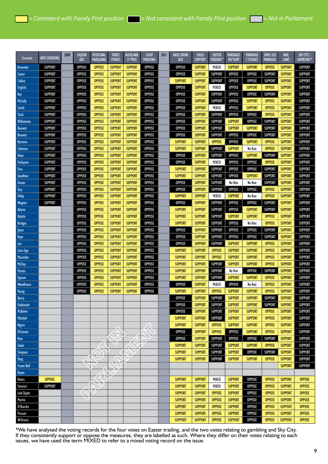| Surname            | <b>ANTI-SMACKING</b> | 2008 | LIQUOR<br><b>ADS</b> | <b>MEDICINAL</b><br>MARIJUANA | THREE<br><b>STRIKES</b> | AUCKLAND<br><b>ST PROS</b> | <b>LIGHT</b><br>SMACKING | 2011 | <b>RAISE DRINK</b><br>AGE | <b>CHILD</b><br><b>SUPPORT</b> | <b>EASTER</b><br><b>TRADING*</b> | <b>MARRIAGE</b><br><b>REF'DUM</b> | MARRIAGE<br><b>C'SCIENCE</b> | SAME-SEX<br><b>MARRIAGE</b> | <b>BAIL</b><br>LAWS | SKY CITY /<br>GAMBLING* |
|--------------------|----------------------|------|----------------------|-------------------------------|-------------------------|----------------------------|--------------------------|------|---------------------------|--------------------------------|----------------------------------|-----------------------------------|------------------------------|-----------------------------|---------------------|-------------------------|
| <b>Brownlee</b>    | <b>SUPPORT</b>       |      | <b>OPPOSE</b>        | <b>OPPOSE</b>                 | <b>SUPPORT</b>          | <b>SUPPORT</b>             | <b>OPPOSE</b>            |      | <b>OPPOSE</b>             | <b>SUPPORT</b>                 | MIXED                            | <b>SUPPORT</b>                    | <b>SUPPORT</b>               | <b>OPPOSE</b>               | <b>SUPPORT</b>      | SUPPORT                 |
| Carter             | <b>SUPPORT</b>       |      | <b>OPPOSE</b>        | <b>OPPOSE</b>                 | <b>SUPPORT</b>          | <b>SUPPORT</b>             | <b>OPPOSE</b>            |      | <b>OPPOSE</b>             | <b>SUPPORT</b>                 | <b>SUPPORT</b>                   | <b>OPPOSE</b>                     | <b>OPPOSE</b>                | <b>SUPPORT</b>              | <b>SUPPORT</b>      | SUPPORT                 |
| <b>Collins</b>     | <b>SUPPORT</b>       |      | <b>OPPOSE</b>        | <b>OPPOSE</b>                 | <b>SUPPORT</b>          | <b>SUPPORT</b>             | <b>OPPOSE</b>            |      | <b>SUPPORT</b>            | <b>SUPPORT</b>                 | <b>SUPPORT</b>                   | <b>OPPOSE</b>                     | <b>OPPOSE</b>                | <b>SUPPORT</b>              | <b>SUPPORT</b>      | <b>SUPPORT</b>          |
| <b>English</b>     | <b>SUPPORT</b>       |      | <b>OPPOSE</b>        | <b>OPPOSE</b>                 | <b>SUPPORT</b>          | <b>SUPPORT</b>             | <b>OPPOSE</b>            |      | <b>OPPOSE</b>             | <b>SUPPORT</b>                 | MIXED                            | <b>OPPOSE</b>                     | <b>SUPPORT</b>               | <b>OPPOSE</b>               | <b>SUPPORT</b>      | <b>SUPPORT</b>          |
| Key                | <b>SUPPORT</b>       |      | <b>OPPOSE</b>        | <b>OPPOSE</b>                 | <b>SUPPORT</b>          | <b>SUPPORT</b>             | <b>OPPOSE</b>            |      | <b>OPPOSE</b>             | <b>SUPPORT</b>                 | <b>SUPPORT</b>                   | <b>OPPOSE</b>                     | <b>OPPOSE</b>                | <b>SUPPORT</b>              | <b>SUPPORT</b>      | <b>SUPPORT</b>          |
| <b>McCully</b>     | <b>SUPPORT</b>       |      | <b>OPPOSE</b>        | <b>OPPOSE</b>                 | <b>SUPPORT</b>          | <b>SUPPORT</b>             | <b>OPPOSE</b>            |      | <b>OPPOSE</b>             | <b>SUPPORT</b>                 | <b>SUPPORT</b>                   | <b>OPPOSE</b>                     | <b>SUPPORT</b>               | <b>OPPOSE</b>               | <b>SUPPORT</b>      | <b>SUPPORT</b>          |
| <b>Smith</b>       | <b>SUPPORT</b>       |      | <b>OPPOSE</b>        | <b>OPPOSE</b>                 | <b>SUPPORT</b>          | <b>SUPPORT</b>             | <b>OPPOSE</b>            |      | <b>OPPOSE</b>             | <b>SUPPORT</b>                 | MIXED                            | <b>OPPOSE</b>                     | <b>SUPPORT</b>               | <b>OPPOSE</b>               | <b>SUPPORT</b>      | <b>SUPPORT</b>          |
| Tisch              | <b>SUPPORT</b>       |      | <b>OPPOSE</b>        | <b>OPPOSE</b>                 | <b>SUPPORT</b>          | <b>SUPPORT</b>             | <b>OPPOSE</b>            |      | <b>OPPOSE</b>             | <b>SUPPORT</b>                 | <b>SUPPORT</b>                   | <b>OPPOSE</b>                     | <b>OPPOSE</b>                | <b>OPPOSE</b>               | <b>SUPPORT</b>      | <b>SUPPORT</b>          |
| Williamson         | <b>SUPPORT</b>       |      | <b>OPPOSE</b>        | <b>OPPOSE</b>                 | <b>SUPPORT</b>          | <b>SUPPORT</b>             | <b>OPPOSE</b>            |      | <b>OPPOSE</b>             | <b>SUPPORT</b>                 | <b>SUPPORT</b>                   | <b>SUPPORT</b>                    | <b>OPPOSE</b>                | <b>SUPPORT</b>              | <b>SUPPORT</b>      | <b>SUPPORT</b>          |
| <b>Bennett</b>     | <b>SUPPORT</b>       |      | <b>OPPOSE</b>        | <b>OPPOSE</b>                 | <b>SUPPORT</b>          | <b>SUPPORT</b>             | <b>OPPOSE</b>            |      | <b>OPPOSE</b>             | <b>SUPPORT</b>                 | <b>SUPPORT</b>                   | <b>SUPPORT</b>                    | <b>SUPPORT</b>               | <b>SUPPORT</b>              | <b>SUPPORT</b>      | <b>SUPPORT</b>          |
| <b>Bennett</b>     | <b>SUPPORT</b>       |      | <b>OPPOSE</b>        | <b>OPPOSE</b>                 | <b>SUPPORT</b>          | <b>SUPPORT</b>             | <b>OPPOSE</b>            |      | <b>OPPOSE</b>             | <b>SUPPORT</b>                 | <b>SUPPORT</b>                   | <b>OPPOSE</b>                     | <b>OPPOSE</b>                | <b>SUPPORT</b>              | <b>SUPPORT</b>      | <b>SUPPORT</b>          |
| <b>Borrows</b>     | <b>SUPPORT</b>       |      | <b>OPPOSE</b>        | <b>OPPOSE</b>                 | <b>SUPPORT</b>          | <b>SUPPORT</b>             | <b>OPPOSE</b>            |      | <b>SUPPORT</b>            | <b>SUPPORT</b>                 | <b>OPPOSE</b>                    | <b>OPPOSE</b>                     | <b>SUPPORT</b>               | <b>OPPOSE</b>               | <b>SUPPORT</b>      | <b>SUPPORT</b>          |
| <b>Coleman</b>     | <b>SUPPORT</b>       |      | <b>OPPOSE</b>        | <b>OPPOSE</b>                 | <b>SUPPORT</b>          | <b>SUPPORT</b>             | <b>OPPOSE</b>            |      | <b>SUPPORT</b>            | <b>SUPPORT</b>                 | <b>SUPPORT</b>                   | <b>SUPPORT</b>                    | No Vote                      | <b>OPPOSE</b>               | <b>SUPPORT</b>      | <b>SUPPORT</b>          |
| Dean               | <b>SUPPORT</b>       |      | <b>OPPOSE</b>        | <b>OPPOSE</b>                 | <b>SUPPORT</b>          | <b>SUPPORT</b>             | <b>OPPOSE</b>            |      | <b>OPPOSE</b>             | <b>SUPPORT</b>                 | <b>SUPPORT</b>                   | <b>OPPOSE</b>                     | <b>SUPPORT</b>               | <b>SUPPORT</b>              | <b>SUPPORT</b>      | <b>SUPPORT</b>          |
| Finlayson          | <b>SUPPORT</b>       |      | <b>OPPOSE</b>        | <b>OPPOSE</b>                 | <b>SUPPORT</b>          | <b>SUPPORT</b>             | <b>OPPOSE</b>            |      | <b>OPPOSE</b>             | <b>SUPPORT</b>                 | MIXED                            | <b>OPPOSE</b>                     | <b>OPPOSE</b>                | <b>OPPOSE</b>               | <b>SUPPORT</b>      | <b>SUPPORT</b>          |
| Foss               | <b>SUPPORT</b>       |      | <b>OPPOSE</b>        | <b>OPPOSE</b>                 | <b>SUPPORT</b>          | <b>SUPPORT</b>             | <b>OPPOSE</b>            |      | <b>SUPPORT</b>            | <b>SUPPORT</b>                 | <b>SUPPORT</b>                   | <b>OPPOSE</b>                     | <b>OPPOSE</b>                | <b>SUPPORT</b>              | <b>SUPPORT</b>      | <b>SUPPORT</b>          |
| Goodhew            | <b>SUPPORT</b>       |      | <b>OPPOSE</b>        | <b>OPPOSE</b>                 | <b>SUPPORT</b>          | <b>SUPPORT</b>             | <b>OPPOSE</b>            |      | <b>SUPPORT</b>            | <b>SUPPORT</b>                 | <b>SUPPORT</b>                   | <b>OPPOSE</b>                     | <b>SUPPORT</b>               | <b>SUPPORT</b>              | <b>SUPPORT</b>      | <b>SUPPORT</b>          |
| Groser             | <b>SUPPORT</b>       |      | <b>OPPOSE</b>        | <b>OPPOSE</b>                 | <b>SUPPORT</b>          | <b>SUPPORT</b>             | <b>OPPOSE</b>            |      | <b>OPPOSE</b>             | <b>SUPPORT</b>                 | <b>SUPPORT</b>                   | No Vote                           | No Vote                      | <b>SUPPORT</b>              | <b>SUPPORT</b>      | <b>SUPPORT</b>          |
| Guy                | <b>SUPPORT</b>       |      | <b>OPPOSE</b>        | <b>OPPOSE</b>                 | <b>SUPPORT</b>          | <b>SUPPORT</b>             | <b>OPPOSE</b>            |      | <b>OPPOSE</b>             | <b>SUPPORT</b>                 | <b>SUPPORT</b>                   | <b>OPPOSE</b>                     | <b>OPPOSE</b>                | <b>OPPOSE</b>               | <b>SUPPORT</b>      | <b>SUPPORT</b>          |
| <b>Tolley</b>      | <b>SUPPORT</b>       |      | <b>OPPOSE</b>        | <b>OPPOSE</b>                 | <b>SUPPORT</b>          | <b>SUPPORT</b>             | <b>OPPOSE</b>            |      | <b>SUPPORT</b>            | <b>SUPPORT</b>                 | MIXED                            | <b>SUPPORT</b>                    | No Vote                      | <b>OPPOSE</b>               | <b>SUPPORT</b>      | <b>SUPPORT</b>          |
| Wagner             | <b>SUPPORT</b>       |      | <b>OPPOSE</b>        | <b>OPPOSE</b>                 | <b>SUPPORT</b>          | <b>SUPPORT</b>             | <b>OPPOSE</b>            |      | <b>OPPOSE</b>             | <b>SUPPORT</b>                 | <b>SUPPORT</b>                   | <b>OPPOSE</b>                     | <b>OPPOSE</b>                | <b>SUPPORT</b>              | <b>SUPPORT</b>      | <b>SUPPORT</b>          |
| <b>Adams</b>       |                      |      | <b>OPPOSE</b>        | <b>OPPOSE</b>                 | <b>SUPPORT</b>          | <b>SUPPORT</b>             | <b>OPPOSE</b>            |      | <b>SUPPORT</b>            | <b>SUPPORT</b>                 | <b>SUPPORT</b>                   | <b>OPPOSE</b>                     | <b>SUPPORT</b>               | <b>SUPPORT</b>              | <b>SUPPORT</b>      | <b>SUPPORT</b>          |
| <b>Bakshi</b>      |                      |      | <b>OPPOSE</b>        | <b>OPPOSE</b>                 | <b>SUPPORT</b>          | <b>SUPPORT</b>             | <b>OPPOSE</b>            |      | <b>SUPPORT</b>            | <b>SUPPORT</b>                 | <b>SUPPORT</b>                   | <b>SUPPORT</b>                    | <b>SUPPORT</b>               | <b>OPPOSE</b>               | <b>SUPPORT</b>      | <b>SUPPORT</b>          |
| <b>Bridges</b>     |                      |      | <b>OPPOSE</b>        | <b>OPPOSE</b>                 | <b>SUPPORT</b>          | <b>SUPPORT</b>             | <b>OPPOSE</b>            |      | <b>SUPPORT</b>            | <b>SUPPORT</b>                 | <b>SUPPORT</b>                   | <b>OPPOSE</b>                     | No Vote                      | <b>OPPOSE</b>               | <b>SUPPORT</b>      | <b>SUPPORT</b>          |
| Joyce              |                      |      | <b>OPPOSE</b>        | <b>OPPOSE</b>                 | <b>SUPPORT</b>          | <b>SUPPORT</b>             | <b>OPPOSE</b>            |      | <b>OPPOSE</b>             | <b>SUPPORT</b>                 | <b>SUPPORT</b>                   | <b>OPPOSE</b>                     | <b>OPPOSE</b>                | <b>SUPPORT</b>              | <b>SUPPORT</b>      | SUPPORT                 |
| Kaye               |                      |      | <b>OPPOSE</b>        | <b>OPPOSE</b>                 | <b>SUPPORT</b>          | <b>SUPPORT</b>             | <b>OPPOSE</b>            |      | <b>OPPOSE</b>             | <b>SUPPORT</b>                 | <b>SUPPORT</b>                   | <b>OPPOSE</b>                     | <b>OPPOSE</b>                | <b>SUPPORT</b>              | <b>SUPPORT</b>      | <b>SUPPORT</b>          |
| Lee                |                      |      | <b>OPPOSE</b>        | <b>OPPOSE</b>                 | <b>SUPPORT</b>          | <b>SUPPORT</b>             | <b>OPPOSE</b>            |      | <b>OPPOSE</b>             | <b>SUPPORT</b>                 | <b>SUPPORT</b>                   | <b>SUPPORT</b>                    | <b>SUPPORT</b>               | <b>OPPOSE</b>               | <b>SUPPORT</b>      | <b>SUPPORT</b>          |
| Lotu-liga          |                      |      | <b>OPPOSE</b>        | <b>OPPOSE</b>                 | <b>SUPPORT</b>          | <b>SUPPORT</b>             | <b>OPPOSE</b>            |      | <b>SUPPORT</b>            | <b>SUPPORT</b>                 | <b>OPPOSE</b>                    | <b>SUPPORT</b>                    | <b>SUPPORT</b>               | <b>OPPOSE</b>               | <b>SUPPORT</b>      | <b>SUPPORT</b>          |
| <b>Macindoe</b>    |                      |      | <b>OPPOSE</b>        | <b>OPPOSE</b>                 | <b>SUPPORT</b>          | <b>SUPPORT</b>             | <b>OPPOSE</b>            |      | <b>SUPPORT</b>            | <b>SUPPORT</b>                 | <b>OPPOSE</b>                    | <b>SUPPORT</b>                    | <b>SUPPORT</b>               | <b>OPPOSE</b>               | <b>SUPPORT</b>      | <b>SUPPORT</b>          |
| <b>McClay</b>      |                      |      | <b>OPPOSE</b>        | <b>OPPOSE</b>                 | <b>SUPPORT</b>          | <b>SUPPORT</b>             | <b>OPPOSE</b>            |      | <b>SUPPORT</b>            | <b>SUPPORT</b>                 | <b>SUPPORT</b>                   | <b>SUPPORT</b>                    | <b>SUPPORT</b>               | <b>OPPOSE</b>               | <b>SUPPORT</b>      | <b>SUPPORT</b>          |
| Parata             |                      |      | <b>OPPOSE</b>        | <b>OPPOSE</b>                 | <b>SUPPORT</b>          | <b>SUPPORT</b>             | <b>OPPOSE</b>            |      | <b>SUPPORT</b>            | <b>SUPPORT</b>                 | <b>SUPPORT</b>                   | No Vote                           | <b>OPPOSE</b>                | <b>SUPPORT</b>              | <b>SUPPORT</b>      | <b>SUPPORT</b>          |
| <b>Upston</b>      |                      |      | <b>OPPOSE</b>        | <b>OPPOSE</b>                 | <b>SUPPORT</b>          | <b>SUPPORT</b>             | <b>OPPOSE</b>            |      | <b>SUPPORT</b>            | <b>SUPPORT</b>                 | <b>SUPPORT</b>                   | <b>SUPPORT</b>                    | <b>SUPPORT</b>               | <b>OPPOSE</b>               | <b>SUPPORT</b>      | <b>SUPPORT</b>          |
| Woodhouse          |                      |      | <b>OPPOSE</b>        | <b>OPPOSE</b>                 | <b>SUPPORT</b>          | <b>SUPPORT</b>             | <b>OPPOSE</b>            |      | <b>OPPOSE</b>             | <b>SUPPORT</b>                 | MIXED                            | <b>OPPOSE</b>                     | No Vote                      | <b>OPPOSE</b>               | <b>SUPPORT</b>      | <b>SUPPORT</b>          |
| Young              |                      |      | <b>OPPOSE</b>        | <b>OPPOSE</b>                 | <b>SUPPORT</b>          | <b>SUPPORT</b>             | <b>OPPOSE</b>            |      | <b>SUPPORT</b>            | <b>SUPPORT</b>                 | <b>OPPOSE</b>                    | <b>SUPPORT</b>                    | <b>SUPPORT</b>               | <b>OPPOSE</b>               | <b>SUPPORT</b>      | <b>SUPPORT</b>          |
| <b>Barry</b>       |                      |      |                      |                               |                         |                            |                          |      | <b>OPPOSE</b>             | <b>SUPPORT</b>                 | <b>SUPPORT</b>                   | <b>SUPPORT</b>                    | <b>SUPPORT</b>               | <b>SUPPORT</b>              | <b>SUPPORT</b>      | <b>SUPPORT</b>          |
| Goldsmith          |                      |      |                      |                               |                         |                            |                          |      | <b>OPPOSE</b>             | <b>SUPPORT</b>                 | SUPPORT                          | <b>SUPPORT</b>                    | <b>SUPPORT</b>               | SUPPORT                     | <b>SUPPORT</b>      | SUPPORT                 |
| <b>McKelvie</b>    |                      |      |                      |                               |                         |                            |                          |      | <b>OPPOSE</b>             | <b>SUPPORT</b>                 | <b>SUPPORT</b>                   | <b>SUPPORT</b>                    | <b>SUPPORT</b>               | <b>OPPOSE</b>               | <b>SUPPORT</b>      | SUPPORT                 |
| Mitchell           |                      |      |                      |                               |                         |                            |                          |      | <b>SUPPORT</b>            | <b>SUPPORT</b>                 | <b>SUPPORT</b>                   | <b>SUPPORT</b>                    | <b>SUPPORT</b>               | <b>OPPOSE</b>               | <b>SUPPORT</b>      | <b>SUPPORT</b>          |
| <b>Ngaro</b>       |                      |      |                      |                               |                         |                            |                          |      | <b>SUPPORT</b>            | <b>SUPPORT</b>                 | <b>OPPOSE</b>                    | <b>SUPPORT</b>                    | <b>SUPPORT</b>               | <b>OPPOSE</b>               | <b>SUPPORT</b>      | SUPPORT                 |
| O'Connor           |                      |      |                      |                               |                         |                            |                          |      | <b>OPPOSE</b>             | <b>SUPPORT</b>                 | <b>OPPOSE</b>                    | <b>OPPOSE</b>                     | <b>SUPPORT</b>               | <b>OPPOSE</b>               | <b>SUPPORT</b>      | SUPPORT                 |
| Ross               |                      |      |                      |                               |                         |                            |                          |      | <b>OPPOSE</b>             | <b>SUPPORT</b>                 | <b>SUPPORT</b>                   | <b>OPPOSE</b>                     | <b>OPPOSE</b>                | <b>SUPPORT</b>              | <b>SUPPORT</b>      | <b>SUPPORT</b>          |
| Sabin              |                      |      |                      |                               |                         |                            |                          |      | <b>SUPPORT</b>            | <b>SUPPORT</b>                 | <b>SUPPORT</b>                   | <b>SUPPORT</b>                    | <b>SUPPORT</b>               | <b>OPPOSE</b>               | <b>SUPPORT</b>      | <b>SUPPORT</b>          |
| <b>Simpson</b>     |                      |      |                      |                               |                         |                            |                          |      | <b>SUPPORT</b>            | <b>SUPPORT</b>                 | <b>SUPPORT</b>                   | <b>SUPPORT</b>                    | <b>OPPOSE</b>                | <b>SUPPORT</b>              | <b>SUPPORT</b>      | <b>SUPPORT</b>          |
| Yang               |                      |      |                      |                               |                         |                            |                          |      | <b>SUPPORT</b>            | <b>SUPPORT</b>                 | <b>SUPPORT</b>                   | <b>SUPPORT</b>                    | <b>SUPPORT</b>               | <b>OPPOSE</b>               | <b>SUPPORT</b>      | <b>SUPPORT</b>          |
| <b>Foster-Bell</b> |                      |      |                      |                               |                         |                            |                          |      |                           |                                |                                  |                                   |                              |                             | <b>SUPPORT</b>      | <b>SUPPORT</b>          |
| Hayes              |                      |      |                      |                               |                         |                            |                          |      |                           |                                |                                  |                                   |                              |                             |                     |                         |
| Peters             | <b>OPPOSE</b>        |      |                      |                               |                         |                            |                          |      | <b>SUPPORT</b>            | <b>SUPPORT</b>                 | MIXED                            | <b>SUPPORT</b>                    | <b>OPPOSE</b>                | <b>OPPOSE</b>               | <b>SUPPORT</b>      | <b>OPPOSE</b>           |
| Stewart            | <b>SUPPORT</b>       |      |                      |                               |                         |                            |                          |      | <b>SUPPORT</b>            | <b>SUPPORT</b>                 | MIXED                            | <b>SUPPORT</b>                    | <b>OPPOSE</b>                | <b>OPPOSE</b>               | <b>SUPPORT</b>      | <b>OPPOSE</b>           |
| Lole-Taylor        |                      |      |                      |                               |                         |                            |                          |      | <b>SUPPORT</b>            | <b>SUPPORT</b>                 | <b>OPPOSE</b>                    | <b>SUPPORT</b>                    | <b>OPPOSE</b>                | <b>OPPOSE</b>               | <b>SUPPORT</b>      | <b>OPPOSE</b>           |
| Martin             |                      |      |                      |                               |                         |                            |                          |      | <b>SUPPORT</b>            | <b>SUPPORT</b>                 | <b>OPPOSE</b>                    | <b>SUPPORT</b>                    | <b>OPPOSE</b>                | <b>OPPOSE</b>               | <b>SUPPORT</b>      | <b>OPPOSE</b>           |
| O'Rourke           |                      |      |                      |                               |                         |                            |                          |      | <b>SUPPORT</b>            | <b>SUPPORT</b>                 | <b>OPPOSE</b>                    | <b>SUPPORT</b>                    | <b>OPPOSE</b>                | <b>OPPOSE</b>               | <b>SUPPORT</b>      | <b>OPPOSE</b>           |
| Prosser            |                      |      |                      |                               |                         |                            |                          |      | <b>SUPPORT</b>            | <b>SUPPORT</b>                 | <b>OPPOSE</b>                    | <b>SUPPORT</b>                    | <b>OPPOSE</b>                | <b>OPPOSE</b>               | <b>SUPPORT</b>      | <b>OPPOSE</b>           |
| Williams           |                      |      |                      |                               |                         |                            |                          |      | <b>SUPPORT</b>            | <b>SUPPORT</b>                 | <b>OPPOSE</b>                    | <b>SUPPORT</b>                    | <b>OPPOSE</b>                | <b>OPPOSE</b>               | <b>SUPPORT</b>      | <b>OPPOSE</b>           |

\*We have analysed the voting records for the four votes on Easter trading, and the two votes relating to gambling and Sky City. If they consistently support or oppose the measures, they are labelled as such. Where they differ on their votes relating to each issues, we have used the term MIXED to refer to a mixed voting record on the issue.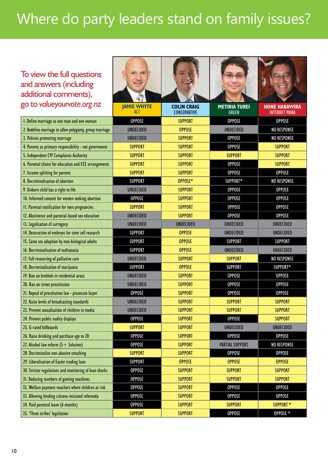# Where do party leaders stand on family issues?

#### ľ To view the full questions and answers (including additional comments), go to *valueyourvote.org.nz*

| additional comments),                                  |                           |                                    |                                      |                                              |
|--------------------------------------------------------|---------------------------|------------------------------------|--------------------------------------|----------------------------------------------|
| go to valueyourvote.org.nz                             | <b>JAMIE WHYTE</b><br>ACT | <b>COLIN CRAIG</b><br>CONSERVATIVE | <b>METIRIA TUREI</b><br><b>GREEN</b> | <b>HONE HARAWIRA</b><br><b>INTERNET MANA</b> |
| I. Define marriage as one man and one woman            | <b>OPPOSE</b>             | <b>SUPPORT</b>                     | <b>OPPOSE</b>                        | <b>OPPOSE</b>                                |
| 2. Redefine marriage to allow polygamy, group marriage | <b>UNDECIDED</b>          | <b>OPPOSE</b>                      | <b>UNDECIDED</b>                     | <b>NO RESPONSE</b>                           |
| 3. Policies promoting marriage                         | <b>UNDECIDED</b>          | <b>SUPPORT</b>                     | <b>OPPOSE</b>                        | <b>NO RESPONSE</b>                           |
| 4. Parents as primary responsibility - not government  | <b>SUPPORT</b>            | <b>SUPPORT</b>                     | <b>OPPOSE</b>                        | <b>SUPPORT</b>                               |
| 5. Independent CYF Complaints Authority                | <b>SUPPORT</b>            | <b>SUPPORT</b>                     | <b>SUPPORT</b>                       | <b>SUPPORT</b>                               |
| 6. Parental choice for education and ECE arrangements  | <b>SUPPORT</b>            | <b>SUPPORT</b>                     | <b>OPPOSE</b>                        | <b>SUPPORT</b>                               |
| 7. Income splitting for parents                        | <b>SUPPORT</b>            | <b>SUPPORT</b>                     | <b>OPPOSE</b>                        | <b>OPPOSE</b>                                |
| 8. Decriminalisation of abortion                       | <b>SUPPORT</b>            | OPPOSE*                            | SUPPORT*                             | <b>NO RESPONSE</b>                           |
| 9. Unborn child has a right to life                    | <b>UNDECIDED</b>          | <b>SUPPORT</b>                     | <b>OPPOSE</b>                        | <b>OPPOSE</b>                                |
| 10. Informed consent for women seeking abortion        | <b>OPPOSE</b>             | <b>SUPPORT</b>                     | <b>OPPOSE</b>                        | <b>OPPOSE</b>                                |
| II. Parental notification for teen pregnancies         | <b>SUPPORT</b>            | <b>SUPPORT</b>                     | <b>OPPOSE</b>                        | <b>OPPOSE</b>                                |
| 12. Abstinence and parental-based sex education        | <b>UNDECIDED</b>          | <b>SUPPORT</b>                     | <b>OPPOSE</b>                        | <b>OPPOSE</b>                                |
| 13. Legalisation of surrogacy                          | <b>UNDECIDED</b>          | <b>UNDECIDED</b>                   | <b>UNDECIDED</b>                     | <b>UNDECIDED</b>                             |
| 14. Destruction of embryos for stem cell research      | <b>SUPPORT</b>            | <b>OPPOSE</b>                      | <b>UNDECIDED</b>                     | <b>UNDECIDED</b>                             |
| 15. Same sex adoption by non-biological adults         | <b>SUPPORT</b>            | <b>OPPOSE</b>                      | <b>SUPPORT</b>                       | <b>SUPPORT</b>                               |
| 16. Decriminalisation of euthanasia                    | <b>SUPPORT</b>            | <b>OPPOSE</b>                      | <b>UNDECIDED</b>                     | <b>UNDECIDED</b>                             |
| 17. Full resourcing of palliative care                 | <b>UNDECIDED</b>          | <b>SUPPORT</b>                     | <b>SUPPORT</b>                       | <b>NO RESPONSE</b>                           |
| 18. Decriminalisation of marijuana                     | <b>SUPPORT</b>            | <b>OPPOSE</b>                      | <b>SUPPORT</b>                       | SUPPORT*                                     |
| 19. Ban on brothels in residential areas               | <b>UNDECIDED</b>          | <b>SUPPORT</b>                     | <b>OPPOSE</b>                        | <b>OPPOSE</b>                                |
| 20. Ban on street prostitution                         | <b>UNDECIDED</b>          | <b>SUPPORT</b>                     | <b>OPPOSE</b>                        | <b>OPPOSE</b>                                |
| 21. Repeal of prostitution law - prosecute buyer       | <b>OPPOSE</b>             | <b>SUPPORT</b>                     | <b>OPPOSE</b>                        | <b>OPPOSE</b>                                |
| 22. Raise levels of broadcasting standards             | <b>UNDECIDED</b>          | <b>SUPPORT</b>                     | <b>SUPPORT</b>                       | <b>SUPPORT</b>                               |
| 23. Prevent sexualisation of children in media         | <b>UNDECIDED</b>          | <b>SUPPORT</b>                     | <b>SUPPORT</b>                       | <b>SUPPORT</b>                               |
| 24. Prevent public nudity displays                     | <b>OPPOSE</b>             | <b>SUPPORT</b>                     | <b>OPPOSE</b>                        | <b>SUPPORT</b>                               |
| 25. G-rated billboards                                 | <b>SUPPORT</b>            | <b>SUPPORT</b>                     | <b>UNDECIDED</b>                     | <b>UNDECIDED</b>                             |
| 26. Raise drinking and purchase age to 20              | <b>OPPOSE</b>             | <b>SUPPORT</b>                     | <b>OPPOSE</b>                        | <b>OPPOSE</b>                                |
| 27. Alcohol law reform $(5 +$ Solution)                | <b>OPPOSE</b>             | <b>SUPPORT</b>                     | <b>PARTIAL SUPPORT</b>               | <b>NO RESPONSE</b>                           |
| 28. Decriminalise non-abusive smacking                 | <b>SUPPORT</b>            | <b>SUPPORT</b>                     | <b>OPPOSE</b>                        | <b>OPPOSE</b>                                |
| 29. Liberalisation of Easter trading laws              | <b>SUPPORT</b>            | <b>OPPOSE</b>                      | <b>OPPOSE</b>                        | <b>OPPOSE</b>                                |
| 30. Stricter regulations and monitoring of loan sharks | <b>OPPOSE</b>             | <b>SUPPORT</b>                     | <b>SUPPORT</b>                       | <b>SUPPORT</b>                               |
| 31. Reducing numbers of gaming machines                | <b>OPPOSE</b>             | <b>SUPPORT</b>                     | <b>SUPPORT</b>                       | <b>SUPPORT</b>                               |
| 32. Welfare payment vouchers where children at risk    | <b>OPPOSE</b>             | <b>SUPPORT</b>                     | <b>OPPOSE</b>                        | <b>OPPOSE</b>                                |
| 33. Allowing binding citizens-initiated referenda      | <b>OPPOSE</b>             | <b>SUPPORT</b>                     | <b>OPPOSE</b>                        | <b>OPPOSE</b>                                |
| 34. Paid parental leave (6 months)                     | <b>OPPOSE</b>             | <b>SUPPORT</b>                     | <b>SUPPORT</b>                       | SUPPORT *                                    |
| 35. 'Three strikes' legislation                        | <b>SUPPORT</b>            | <b>SUPPORT</b>                     | <b>OPPOSE</b>                        | OPPOSE *                                     |
|                                                        |                           |                                    |                                      |                                              |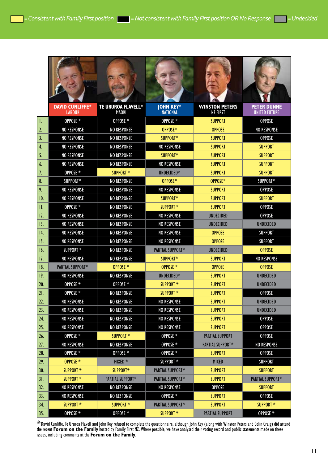H.

**Section** 

|                  | <b>DAVID CUNLIFFE*</b><br><b>LABOUR</b> | <b>TE URUROA FLAVELL*</b><br>MAORI | <b>JOHN KEY*</b><br><b>NATIONAL</b> | <b>WINSTON PETERS</b><br><b>NZ FIRST</b> | <b>PETER DUNNE</b><br><b>UNITED FUTURE</b> |
|------------------|-----------------------------------------|------------------------------------|-------------------------------------|------------------------------------------|--------------------------------------------|
| I.               | OPPOSE *                                | OPPOSE *                           | OPPOSE *                            | <b>SUPPORT</b>                           | <b>OPPOSE</b>                              |
| $\mathfrak{2}$ . | <b>NO RESPONSE</b>                      | <b>NO RESPONSE</b>                 | OPPOSE*                             | <b>OPPOSE</b>                            | <b>NO RESPONSE</b>                         |
| 3.               | <b>NO RESPONSE</b>                      | <b>NO RESPONSE</b>                 | SUPPORT*                            | <b>SUPPORT</b>                           | <b>OPPOSE</b>                              |
| 4.               | <b>NO RESPONSE</b>                      | <b>NO RESPONSE</b>                 | <b>NO RESPONSE</b>                  | <b>SUPPORT</b>                           | <b>SUPPORT</b>                             |
| 5.               | <b>NO RESPONSE</b>                      | <b>NO RESPONSE</b>                 | SUPPORT*                            | <b>SUPPORT</b>                           | <b>SUPPORT</b>                             |
| 6.               | <b>NO RESPONSE</b>                      | <b>NO RESPONSE</b>                 | <b>NO RESPONSE</b>                  | <b>SUPPORT</b>                           | <b>SUPPORT</b>                             |
| 7.               | OPPOSE *                                | SUPPORT *                          | UNDECIDED*                          | <b>SUPPORT</b>                           | <b>SUPPORT</b>                             |
| 8.               | SUPPORT*                                | <b>NO RESPONSE</b>                 | OPPOSE*                             | OPPOSE*                                  | SUPPORT*                                   |
| 9.               | <b>NO RESPONSE</b>                      | <b>NO RESPONSE</b>                 | <b>NO RESPONSE</b>                  | <b>SUPPORT</b>                           | <b>OPPOSE</b>                              |
| 10.              | <b>NO RESPONSE</b>                      | <b>NO RESPONSE</b>                 | SUPPORT*                            | <b>SUPPORT</b>                           | <b>SUPPORT</b>                             |
| Ш.               | OPPOSE *                                | <b>NO RESPONSE</b>                 | SUPPORT <sup>*</sup>                | <b>SUPPORT</b>                           | <b>OPPOSE</b>                              |
| 12.              | <b>NO RESPONSE</b>                      | <b>NO RESPONSE</b>                 | <b>NO RESPONSE</b>                  | <b>UNDECIDED</b>                         | <b>OPPOSE</b>                              |
| 13.              | <b>NO RESPONSE</b>                      | <b>NO RESPONSE</b>                 | <b>NO RESPONSE</b>                  | <b>UNDECIDED</b>                         | <b>UNDECIDED</b>                           |
| 14.              | <b>NO RESPONSE</b>                      | <b>NO RESPONSE</b>                 | <b>NO RESPONSE</b>                  | <b>OPPOSE</b>                            | <b>SUPPORT</b>                             |
| 15.              | <b>NO RESPONSE</b>                      | <b>NO RESPONSE</b>                 | <b>NO RESPONSE</b>                  | <b>OPPOSE</b>                            | <b>SUPPORT</b>                             |
| 16.              | SUPPORT *                               | <b>NO RESPONSE</b>                 | PARTIAL SUPPORT*                    | <b>UNDECIDED</b>                         | <b>OPPOSE</b>                              |
| 17.              | <b>NO RESPONSE</b>                      | <b>NO RESPONSE</b>                 | SUPPORT*                            | <b>SUPPORT</b>                           | <b>NO RESPONSE</b>                         |
| 18.              | <b>PARTIAL SUPPORT*</b>                 | OPPOSE *                           | OPPOSE *                            | <b>OPPOSE</b>                            | <b>OPPOSE</b>                              |
| 19.              | <b>NO RESPONSE</b>                      | <b>NO RESPONSE</b>                 | UNDECIDED*                          | <b>SUPPORT</b>                           | UNDECIDED                                  |
| 20.              | OPPOSE *                                | OPPOSE *                           | SUPPORT *                           | <b>SUPPORT</b>                           | <b>UNDECIDED</b>                           |
| 21.              | OPPOSE *                                | <b>NO RESPONSE</b>                 | SUPPORT <sup>*</sup>                | <b>SUPPORT</b>                           | <b>OPPOSE</b>                              |
| 22.              | <b>NO RESPONSE</b>                      | <b>NO RESPONSE</b>                 | <b>NO RESPONSE</b>                  | <b>SUPPORT</b>                           | <b>UNDECIDED</b>                           |
| 23.              | <b>NO RESPONSE</b>                      | <b>NO RESPONSE</b>                 | <b>NO RESPONSE</b>                  | <b>SUPPORT</b>                           | <b>UNDECIDED</b>                           |
| 24.              | <b>NO RESPONSE</b>                      | <b>NO RESPONSE</b>                 | <b>NO RESPONSE</b>                  | <b>SUPPORT</b>                           | <b>OPPOSE</b>                              |
| 25.              | <b>NO RESPONSE</b>                      | <b>NO RESPONSE</b>                 | <b>NO RESPONSE</b>                  | <b>SUPPORT</b>                           | <b>OPPOSE</b>                              |
| 26.              | OPPOSE *                                | SUPPORT *                          | OPPOSE *                            | <b>PARTIAL SUPPORT</b>                   | <b>OPPOSE</b>                              |
| 27.              | <b>NO RESPONSE</b>                      | <b>NO RESPONSE</b>                 | OPPOSE *                            | <b>PARTIAL SUPPORT*</b>                  | <b>NO RESPONSE</b>                         |
| 28.              | OPPOSE *                                | OPPOSE *                           | OPPOSE *                            | <b>SUPPORT</b>                           | <b>OPPOSE</b>                              |
| 29.              | OPPOSE *                                | MIXED <sup>*</sup>                 | SUPPORT *                           | <b>MIXED</b>                             | <b>SUPPORT</b>                             |
| 30.              | SUPPORT *                               | SUPPORT*                           | <b>PARTIAL SUPPORT*</b>             | <b>SUPPORT</b>                           | <b>SUPPORT</b>                             |
| 31.              | SUPPORT *                               | PARTIAL SUPPORT*                   | PARTIAL SUPPORT*                    | <b>SUPPORT</b>                           | <b>PARTIAL SUPPORT*</b>                    |
| 32.              | <b>NO RESPONSE</b>                      | <b>NO RESPONSE</b>                 | <b>NO RESPONSE</b>                  | <b>OPPOSE</b>                            | <b>SUPPORT</b>                             |
| 33.              | <b>NO RESPONSE</b>                      | <b>NO RESPONSE</b>                 | OPPOSE *                            | <b>SUPPORT</b>                           | <b>OPPOSE</b>                              |
| 34.              | SUPPORT *                               | SUPPORT *                          | PARTIAL SUPPORT*                    | <b>SUPPORT</b>                           | SUPPORT *                                  |
| 35.              | OPPOSE *                                | OPPOSE *                           | SUPPORT *                           | <b>PARTIAL SUPPORT</b>                   | OPPOSE *                                   |

\*David Cunliffe, Te Ururoa Flavell and John Key refused to complete the questionnaire, although John Key (along with Winston Peters and Colin Craig) did attend<br>the recent **Forum on the Family** hosted by Family First NZ. W issues, including comments at the **Forum on the Family**.